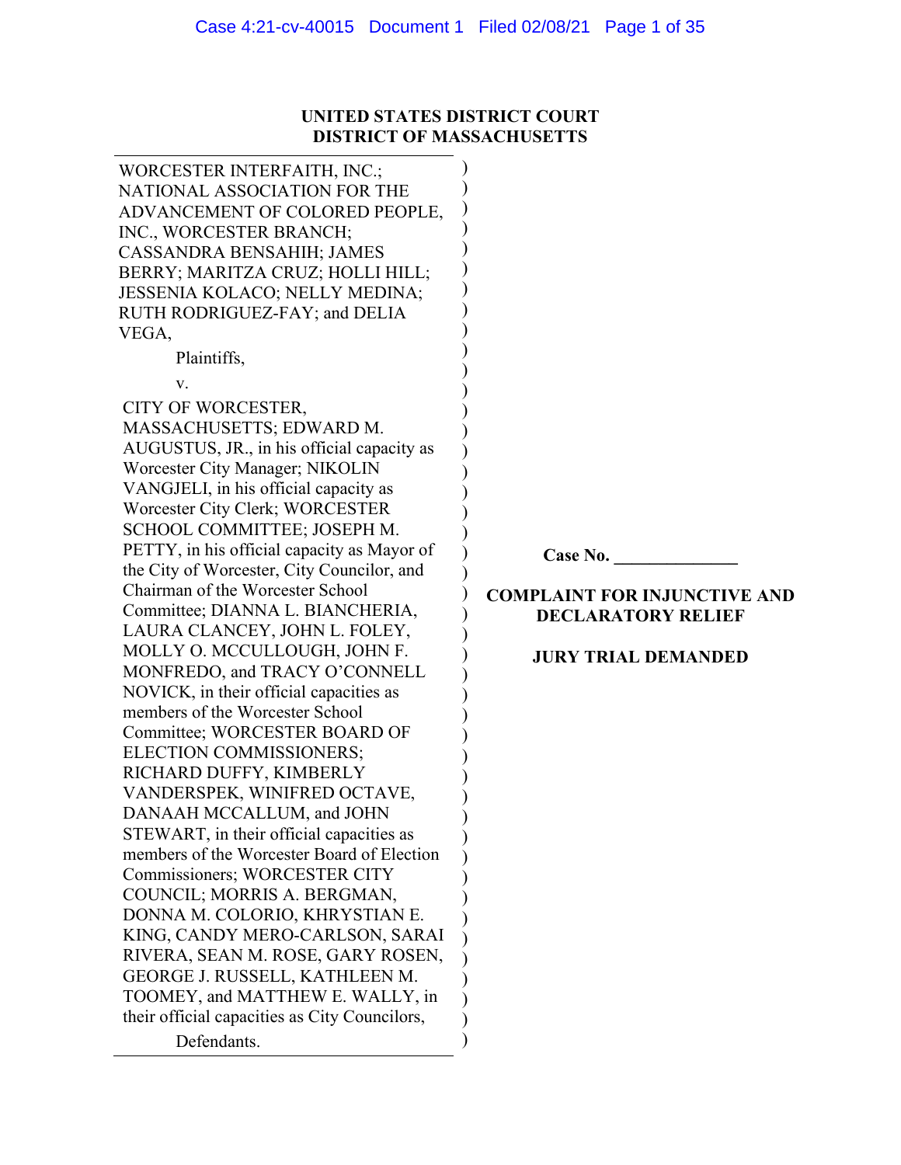# **UNITED STATES DISTRICT COURT DISTRICT OF MASSACHUSETTS**

WORCESTER INTERFAITH, INC.; NATIONAL ASSOCIATION FOR THE ADVANCEMENT OF COLORED PEOPLE, INC., WORCESTER BRANCH; CASSANDRA BENSAHIH; JAMES BERRY; MARITZA CRUZ; HOLLI HILL; JESSENIA KOLACO; NELLY MEDINA; RUTH RODRIGUEZ-FAY; and DELIA VEGA, Plaintiffs, v. CITY OF WORCESTER, MASSACHUSETTS; EDWARD M. AUGUSTUS, JR., in his official capacity as Worcester City Manager; NIKOLIN VANGJELI, in his official capacity as Worcester City Clerk; WORCESTER SCHOOL COMMITTEE; JOSEPH M. PETTY, in his official capacity as Mayor of the City of Worcester, City Councilor, and Chairman of the Worcester School Committee; DIANNA L. BIANCHERIA, LAURA CLANCEY, JOHN L. FOLEY, MOLLY O. MCCULLOUGH, JOHN F. MONFREDO, and TRACY O'CONNELL NOVICK, in their official capacities as members of the Worcester School Committee; WORCESTER BOARD OF ELECTION COMMISSIONERS; RICHARD DUFFY, KIMBERLY VANDERSPEK, WINIFRED OCTAVE, DANAAH MCCALLUM, and JOHN STEWART, in their official capacities as members of the Worcester Board of Election Commissioners; WORCESTER CITY COUNCIL; MORRIS A. BERGMAN, DONNA M. COLORIO, KHRYSTIAN E. KING, CANDY MERO-CARLSON, SARAI RIVERA, SEAN M. ROSE, GARY ROSEN, GEORGE J. RUSSELL, KATHLEEN M. TOOMEY, and MATTHEW E. WALLY, in their official capacities as City Councilors, Defendants. ) ) ) ) ) ) ) ) ) ) ) ) ) ) ) ) ) ) ) ) ) ) ) ) ) ) ) ) ) ) ) ) ) ) ) ) ) ) ) ) ) ) ) )

**Case No. \_\_\_\_\_\_\_\_\_\_\_\_\_\_**

# **COMPLAINT FOR INJUNCTIVE AND DECLARATORY RELIEF**

## **JURY TRIAL DEMANDED**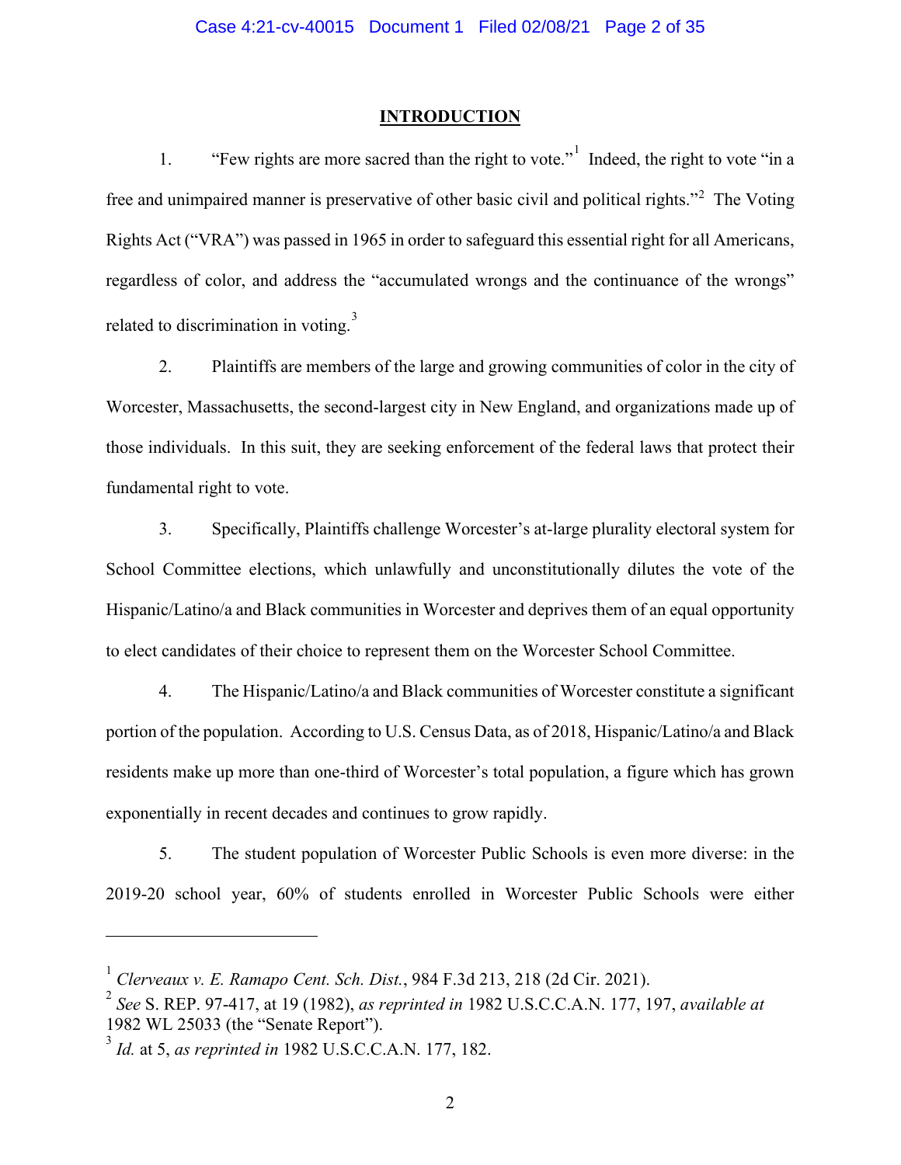#### **INTRODUCTION**

[1](#page-31-0). "Few rights are more sacred than the right to vote." Indeed, the right to vote "in a free and unimpaired manner is preservative of other basic civil and political rights."<sup>[2](#page-31-0)</sup> The Voting Rights Act ("VRA") was passed in 1965 in order to safeguard this essential right for all Americans, regardless of color, and address the "accumulated wrongs and the continuance of the wrongs" related to discrimination in voting.<sup>[3](#page-31-0)</sup>

2. Plaintiffs are members of the large and growing communities of color in the city of Worcester, Massachusetts, the second-largest city in New England, and organizations made up of those individuals. In this suit, they are seeking enforcement of the federal laws that protect their fundamental right to vote.

3. Specifically, Plaintiffs challenge Worcester's at-large plurality electoral system for School Committee elections, which unlawfully and unconstitutionally dilutes the vote of the Hispanic/Latino/a and Black communities in Worcester and deprives them of an equal opportunity to elect candidates of their choice to represent them on the Worcester School Committee.

4. The Hispanic/Latino/a and Black communities of Worcester constitute a significant portion of the population. According to U.S. Census Data, as of 2018, Hispanic/Latino/a and Black residents make up more than one-third of Worcester's total population, a figure which has grown exponentially in recent decades and continues to grow rapidly.

5. The student population of Worcester Public Schools is even more diverse: in the 2019-20 school year, 60% of students enrolled in Worcester Public Schools were either

<sup>1</sup> *Clerveaux v. E. Ramapo Cent. Sch. Dist.*, 984 F.3d 213, 218 (2d Cir. 2021).

<sup>2</sup> *See* S. REP. 97-417, at 19 (1982), *as reprinted in* 1982 U.S.C.C.A.N. 177, 197, *available at* 1982 WL 25033 (the "Senate Report").

<sup>3</sup> *Id.* at 5, *as reprinted in* 1982 U.S.C.C.A.N. 177, 182.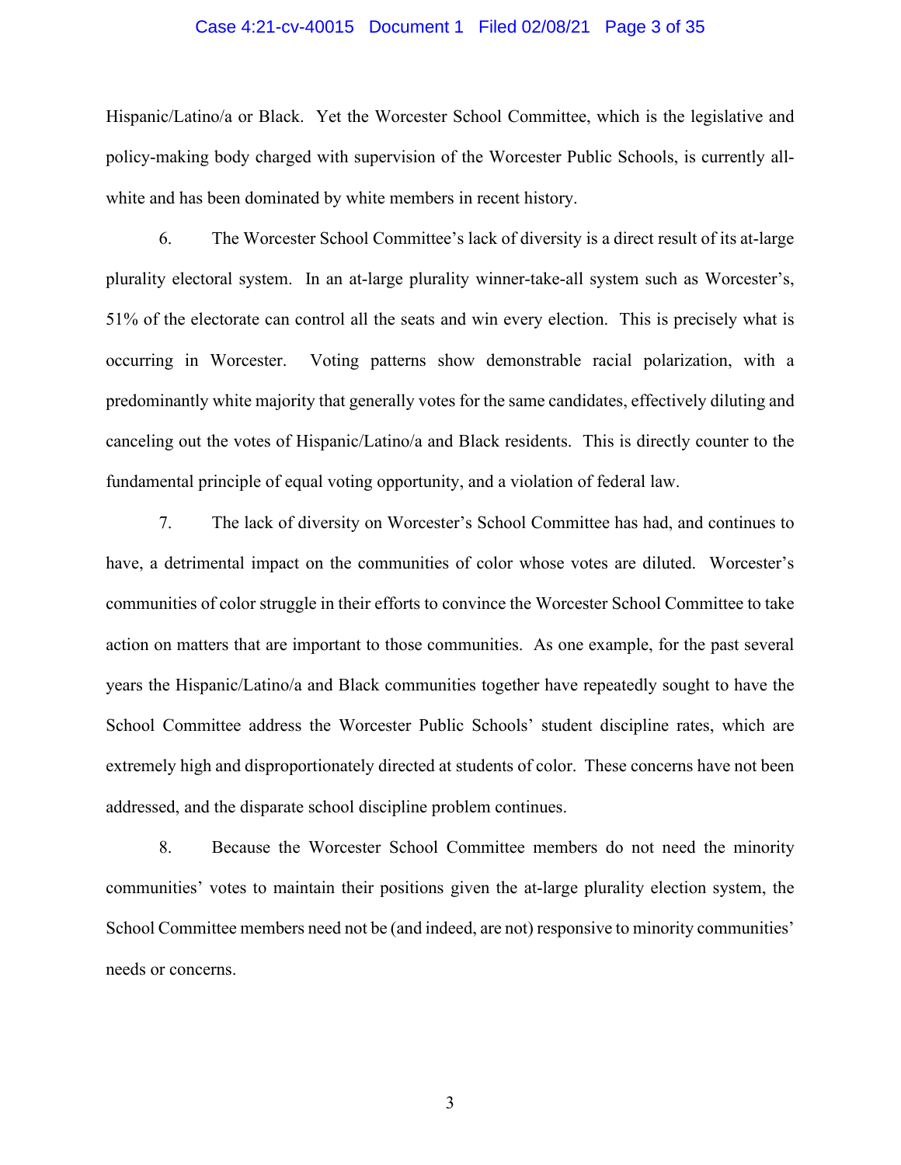#### Case 4:21-cv-40015 Document 1 Filed 02/08/21 Page 3 of 35

Hispanic/Latino/a or Black. Yet the Worcester School Committee, which is the legislative and policy-making body charged with supervision of the Worcester Public Schools, is currently allwhite and has been dominated by white members in recent history.

6. The Worcester School Committee's lack of diversity is a direct result of its at-large plurality electoral system. In an at-large plurality winner-take-all system such as Worcester's, 51% of the electorate can control all the seats and win every election. This is precisely what is occurring in Worcester. Voting patterns show demonstrable racial polarization, with a predominantly white majority that generally votes for the same candidates, effectively diluting and canceling out the votes of Hispanic/Latino/a and Black residents. This is directly counter to the fundamental principle of equal voting opportunity, and a violation of federal law.

7. The lack of diversity on Worcester's School Committee has had, and continues to have, a detrimental impact on the communities of color whose votes are diluted. Worcester's communities of color struggle in their efforts to convince the Worcester School Committee to take action on matters that are important to those communities. As one example, for the past several years the Hispanic/Latino/a and Black communities together have repeatedly sought to have the School Committee address the Worcester Public Schools' student discipline rates, which are extremely high and disproportionately directed at students of color. These concerns have not been addressed, and the disparate school discipline problem continues.

8. Because the Worcester School Committee members do not need the minority communities' votes to maintain their positions given the at-large plurality election system, the School Committee members need not be (and indeed, are not) responsive to minority communities' needs or concerns.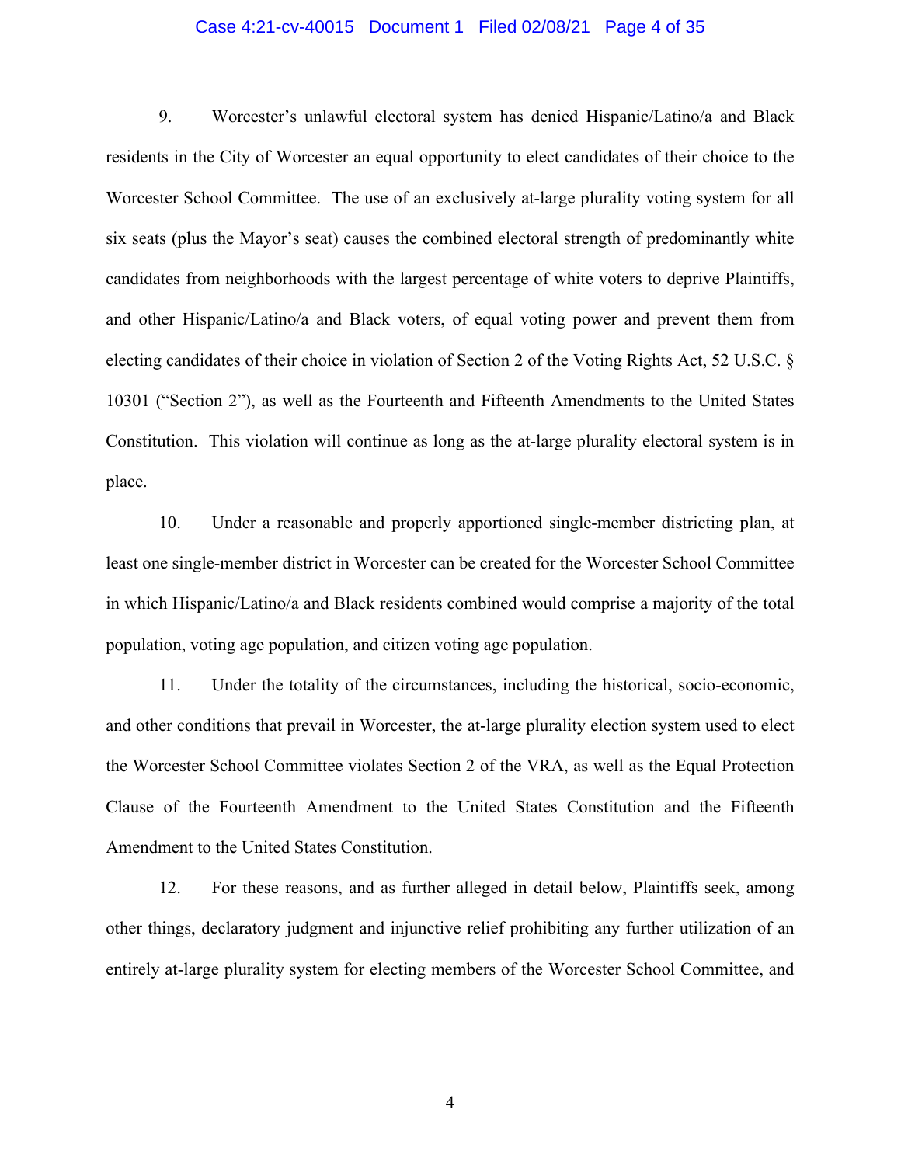#### Case 4:21-cv-40015 Document 1 Filed 02/08/21 Page 4 of 35

9. Worcester's unlawful electoral system has denied Hispanic/Latino/a and Black residents in the City of Worcester an equal opportunity to elect candidates of their choice to the Worcester School Committee. The use of an exclusively at-large plurality voting system for all six seats (plus the Mayor's seat) causes the combined electoral strength of predominantly white candidates from neighborhoods with the largest percentage of white voters to deprive Plaintiffs, and other Hispanic/Latino/a and Black voters, of equal voting power and prevent them from electing candidates of their choice in violation of Section 2 of the Voting Rights Act, 52 U.S.C. § 10301 ("Section 2"), as well as the Fourteenth and Fifteenth Amendments to the United States Constitution. This violation will continue as long as the at-large plurality electoral system is in place.

10. Under a reasonable and properly apportioned single-member districting plan, at least one single-member district in Worcester can be created for the Worcester School Committee in which Hispanic/Latino/a and Black residents combined would comprise a majority of the total population, voting age population, and citizen voting age population.

11. Under the totality of the circumstances, including the historical, socio-economic, and other conditions that prevail in Worcester, the at-large plurality election system used to elect the Worcester School Committee violates Section 2 of the VRA, as well as the Equal Protection Clause of the Fourteenth Amendment to the United States Constitution and the Fifteenth Amendment to the United States Constitution.

12. For these reasons, and as further alleged in detail below, Plaintiffs seek, among other things, declaratory judgment and injunctive relief prohibiting any further utilization of an entirely at-large plurality system for electing members of the Worcester School Committee, and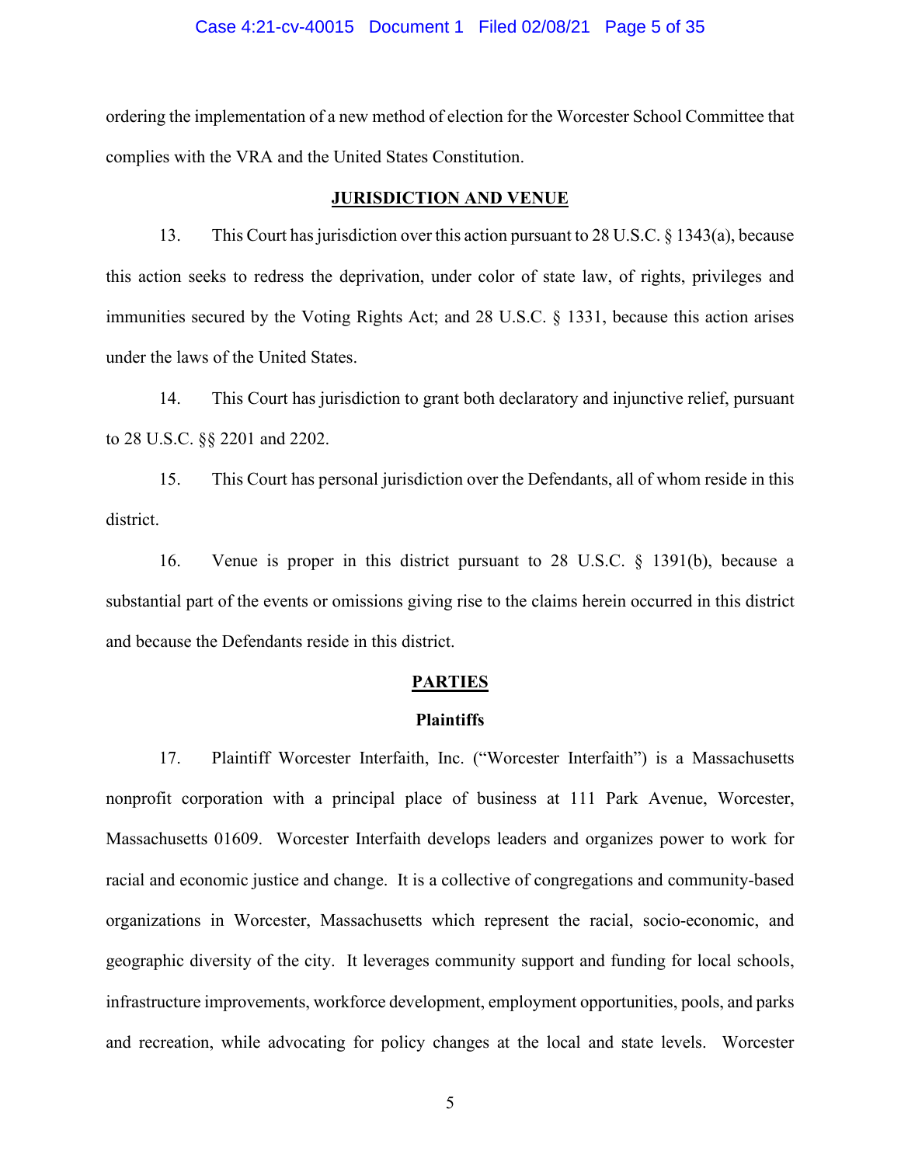#### Case 4:21-cv-40015 Document 1 Filed 02/08/21 Page 5 of 35

ordering the implementation of a new method of election for the Worcester School Committee that complies with the VRA and the United States Constitution.

#### **JURISDICTION AND VENUE**

13. This Court has jurisdiction over this action pursuant to 28 U.S.C. § 1343(a), because this action seeks to redress the deprivation, under color of state law, of rights, privileges and immunities secured by the Voting Rights Act; and 28 U.S.C. § 1331, because this action arises under the laws of the United States.

14. This Court has jurisdiction to grant both declaratory and injunctive relief, pursuant to 28 U.S.C. §§ 2201 and 2202.

15. This Court has personal jurisdiction over the Defendants, all of whom reside in this district.

16. Venue is proper in this district pursuant to 28 U.S.C. § 1391(b), because a substantial part of the events or omissions giving rise to the claims herein occurred in this district and because the Defendants reside in this district.

## **PARTIES**

## **Plaintiffs**

17. Plaintiff Worcester Interfaith, Inc. ("Worcester Interfaith") is a Massachusetts nonprofit corporation with a principal place of business at 111 Park Avenue, Worcester, Massachusetts 01609. Worcester Interfaith develops leaders and organizes power to work for racial and economic justice and change. It is a collective of congregations and community-based organizations in Worcester, Massachusetts which represent the racial, socio-economic, and geographic diversity of the city. It leverages community support and funding for local schools, infrastructure improvements, workforce development, employment opportunities, pools, and parks and recreation, while advocating for policy changes at the local and state levels. Worcester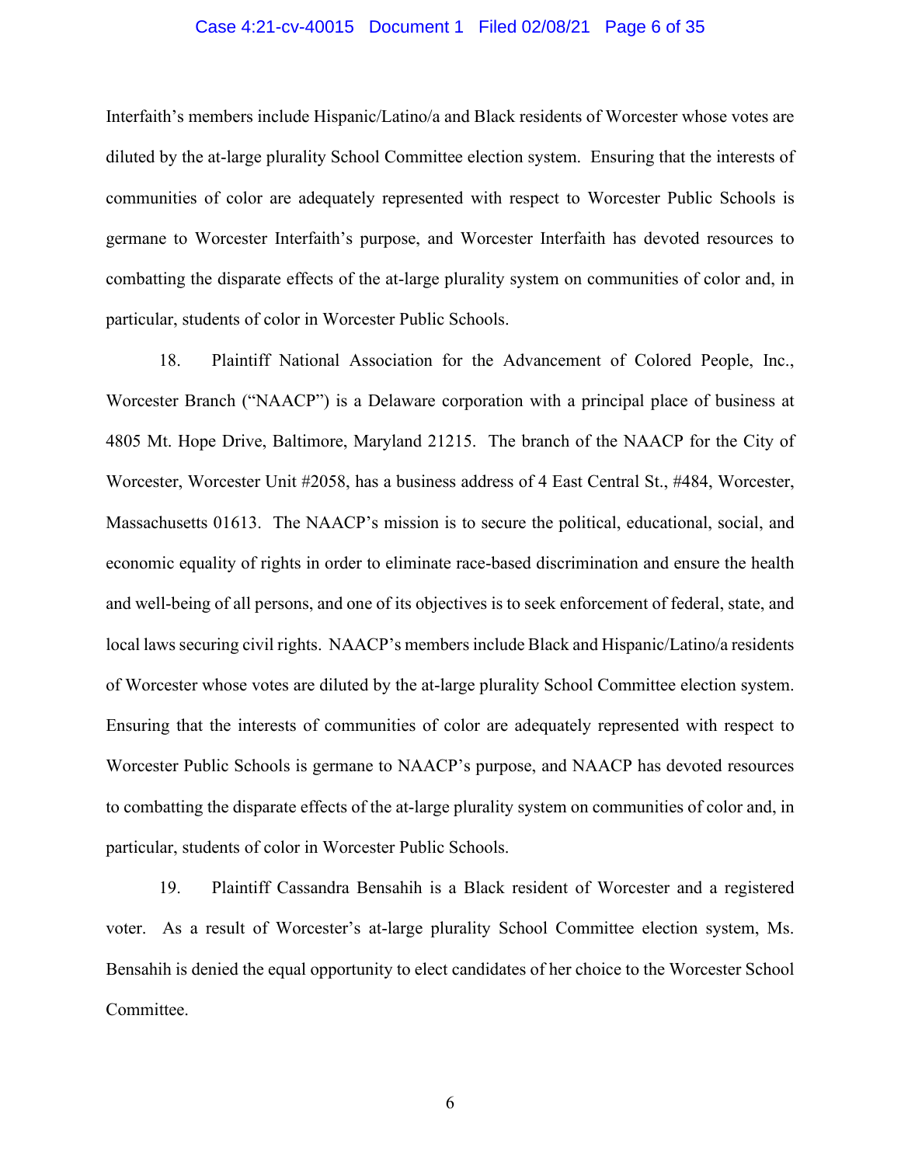#### Case 4:21-cv-40015 Document 1 Filed 02/08/21 Page 6 of 35

Interfaith's members include Hispanic/Latino/a and Black residents of Worcester whose votes are diluted by the at-large plurality School Committee election system. Ensuring that the interests of communities of color are adequately represented with respect to Worcester Public Schools is germane to Worcester Interfaith's purpose, and Worcester Interfaith has devoted resources to combatting the disparate effects of the at-large plurality system on communities of color and, in particular, students of color in Worcester Public Schools.

18. Plaintiff National Association for the Advancement of Colored People, Inc., Worcester Branch ("NAACP") is a Delaware corporation with a principal place of business at 4805 Mt. Hope Drive, Baltimore, Maryland 21215. The branch of the NAACP for the City of Worcester, Worcester Unit #2058, has a business address of 4 East Central St., #484, Worcester, Massachusetts 01613. The NAACP's mission is to secure the political, educational, social, and economic equality of rights in order to eliminate race-based discrimination and ensure the health and well-being of all persons, and one of its objectives is to seek enforcement of federal, state, and local laws securing civil rights. NAACP's members include Black and Hispanic/Latino/a residents of Worcester whose votes are diluted by the at-large plurality School Committee election system. Ensuring that the interests of communities of color are adequately represented with respect to Worcester Public Schools is germane to NAACP's purpose, and NAACP has devoted resources to combatting the disparate effects of the at-large plurality system on communities of color and, in particular, students of color in Worcester Public Schools.

19. Plaintiff Cassandra Bensahih is a Black resident of Worcester and a registered voter. As a result of Worcester's at-large plurality School Committee election system, Ms. Bensahih is denied the equal opportunity to elect candidates of her choice to the Worcester School Committee.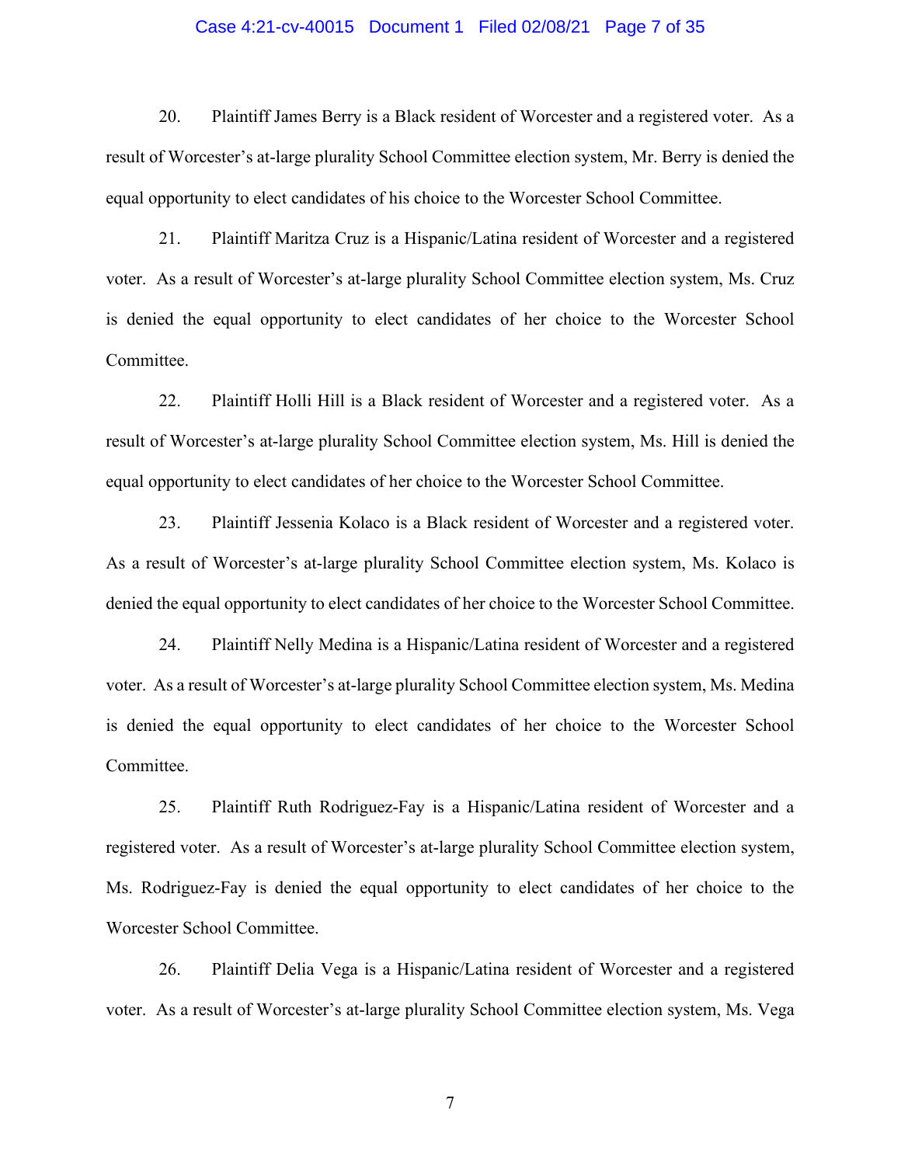#### Case 4:21-cv-40015 Document 1 Filed 02/08/21 Page 7 of 35

20. Plaintiff James Berry is a Black resident of Worcester and a registered voter. As a result of Worcester's at-large plurality School Committee election system, Mr. Berry is denied the equal opportunity to elect candidates of his choice to the Worcester School Committee.

21. Plaintiff Maritza Cruz is a Hispanic/Latina resident of Worcester and a registered voter. As a result of Worcester's at-large plurality School Committee election system, Ms. Cruz is denied the equal opportunity to elect candidates of her choice to the Worcester School Committee.

22. Plaintiff Holli Hill is a Black resident of Worcester and a registered voter. As a result of Worcester's at-large plurality School Committee election system, Ms. Hill is denied the equal opportunity to elect candidates of her choice to the Worcester School Committee.

23. Plaintiff Jessenia Kolaco is a Black resident of Worcester and a registered voter. As a result of Worcester's at-large plurality School Committee election system, Ms. Kolaco is denied the equal opportunity to elect candidates of her choice to the Worcester School Committee.

24. Plaintiff Nelly Medina is a Hispanic/Latina resident of Worcester and a registered voter. As a result of Worcester's at-large plurality School Committee election system, Ms. Medina is denied the equal opportunity to elect candidates of her choice to the Worcester School Committee.

25. Plaintiff Ruth Rodriguez-Fay is a Hispanic/Latina resident of Worcester and a registered voter. As a result of Worcester's at-large plurality School Committee election system, Ms. Rodriguez-Fay is denied the equal opportunity to elect candidates of her choice to the Worcester School Committee.

26. Plaintiff Delia Vega is a Hispanic/Latina resident of Worcester and a registered voter. As a result of Worcester's at-large plurality School Committee election system, Ms. Vega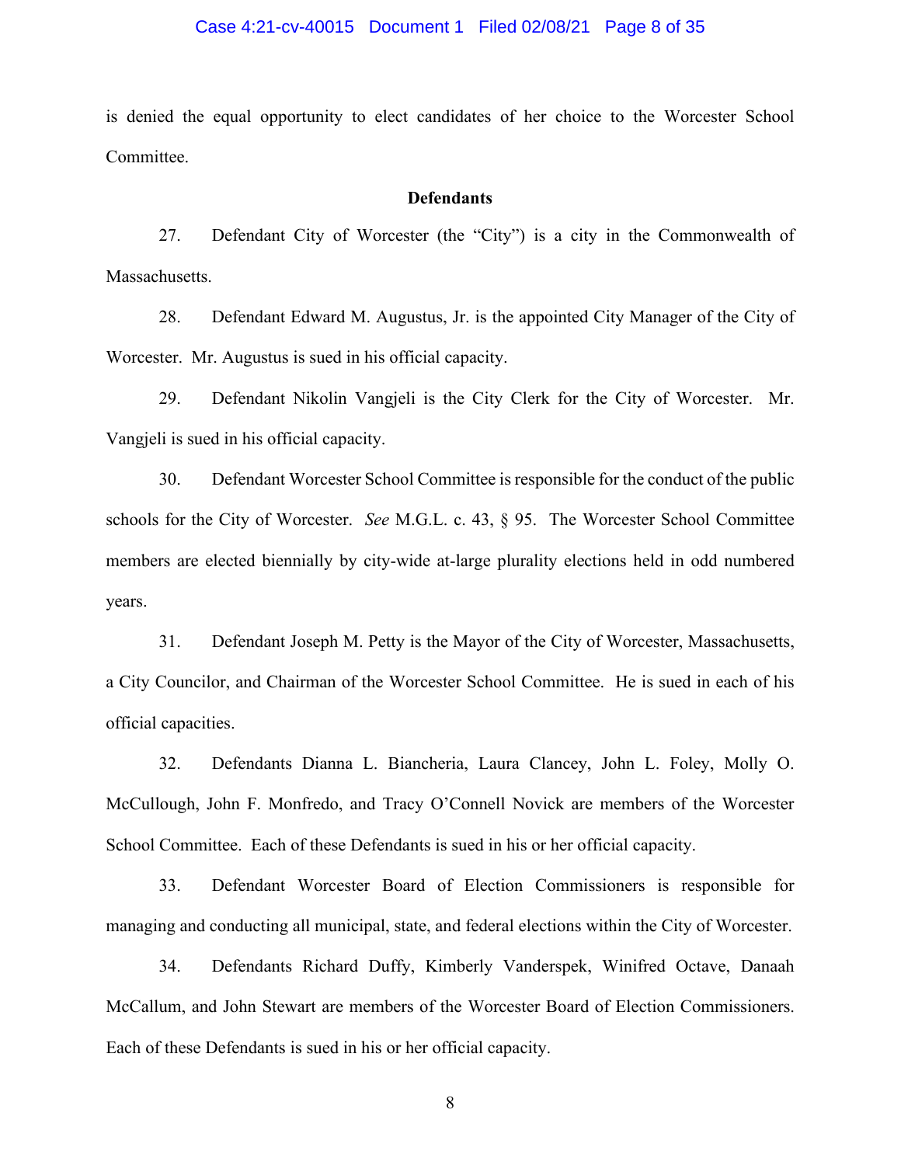#### Case 4:21-cv-40015 Document 1 Filed 02/08/21 Page 8 of 35

is denied the equal opportunity to elect candidates of her choice to the Worcester School Committee.

## **Defendants**

27. Defendant City of Worcester (the "City") is a city in the Commonwealth of Massachusetts.

28. Defendant Edward M. Augustus, Jr. is the appointed City Manager of the City of Worcester. Mr. Augustus is sued in his official capacity.

29. Defendant Nikolin Vangjeli is the City Clerk for the City of Worcester. Mr. Vangjeli is sued in his official capacity.

30. Defendant Worcester School Committee is responsible for the conduct of the public schools for the City of Worcester. *See* M.G.L. c. 43, § 95. The Worcester School Committee members are elected biennially by city-wide at-large plurality elections held in odd numbered years.

31. Defendant Joseph M. Petty is the Mayor of the City of Worcester, Massachusetts, a City Councilor, and Chairman of the Worcester School Committee. He is sued in each of his official capacities.

32. Defendants Dianna L. Biancheria, Laura Clancey, John L. Foley, Molly O. McCullough, John F. Monfredo, and Tracy O'Connell Novick are members of the Worcester School Committee. Each of these Defendants is sued in his or her official capacity.

33. Defendant Worcester Board of Election Commissioners is responsible for managing and conducting all municipal, state, and federal elections within the City of Worcester.

34. Defendants Richard Duffy, Kimberly Vanderspek, Winifred Octave, Danaah McCallum, and John Stewart are members of the Worcester Board of Election Commissioners. Each of these Defendants is sued in his or her official capacity.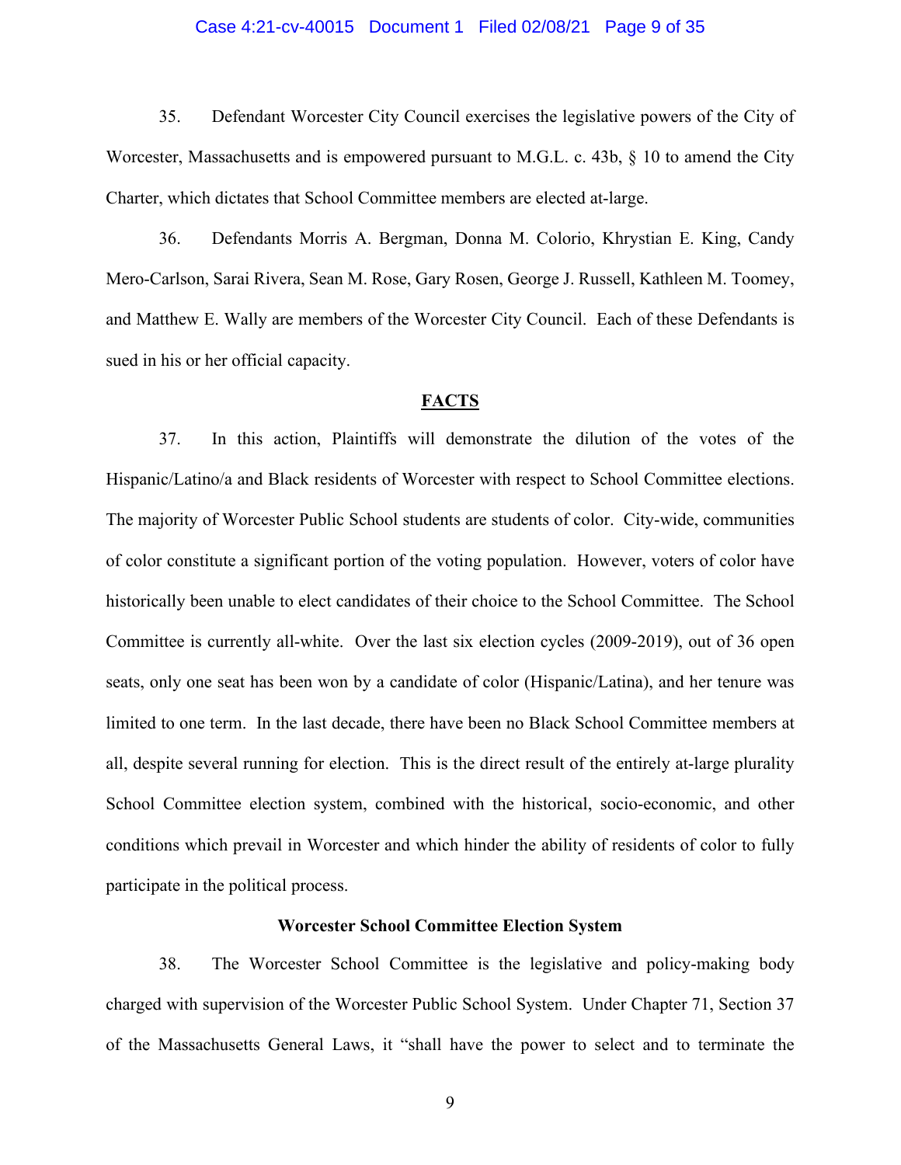#### Case 4:21-cv-40015 Document 1 Filed 02/08/21 Page 9 of 35

35. Defendant Worcester City Council exercises the legislative powers of the City of Worcester, Massachusetts and is empowered pursuant to M.G.L. c. 43b, § 10 to amend the City Charter, which dictates that School Committee members are elected at-large.

36. Defendants Morris A. Bergman, Donna M. Colorio, Khrystian E. King, Candy Mero-Carlson, Sarai Rivera, Sean M. Rose, Gary Rosen, George J. Russell, Kathleen M. Toomey, and Matthew E. Wally are members of the Worcester City Council. Each of these Defendants is sued in his or her official capacity.

#### **FACTS**

37. In this action, Plaintiffs will demonstrate the dilution of the votes of the Hispanic/Latino/a and Black residents of Worcester with respect to School Committee elections. The majority of Worcester Public School students are students of color. City-wide, communities of color constitute a significant portion of the voting population. However, voters of color have historically been unable to elect candidates of their choice to the School Committee. The School Committee is currently all-white. Over the last six election cycles (2009-2019), out of 36 open seats, only one seat has been won by a candidate of color (Hispanic/Latina), and her tenure was limited to one term. In the last decade, there have been no Black School Committee members at all, despite several running for election. This is the direct result of the entirely at-large plurality School Committee election system, combined with the historical, socio-economic, and other conditions which prevail in Worcester and which hinder the ability of residents of color to fully participate in the political process.

#### **Worcester School Committee Election System**

38. The Worcester School Committee is the legislative and policy-making body charged with supervision of the Worcester Public School System. Under Chapter 71, Section 37 of the Massachusetts General Laws, it "shall have the power to select and to terminate the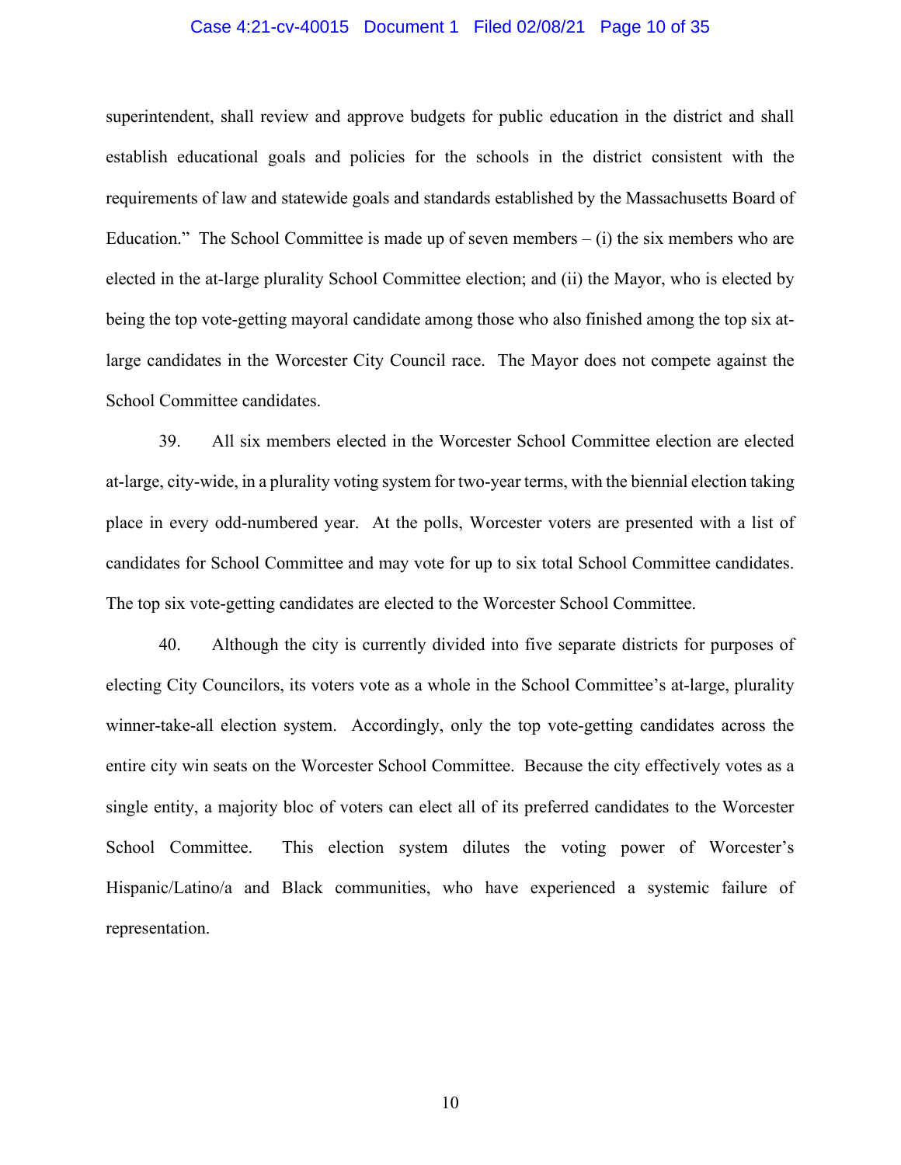#### Case 4:21-cv-40015 Document 1 Filed 02/08/21 Page 10 of 35

superintendent, shall review and approve budgets for public education in the district and shall establish educational goals and policies for the schools in the district consistent with the requirements of law and statewide goals and standards established by the Massachusetts Board of Education." The School Committee is made up of seven members  $- (i)$  the six members who are elected in the at-large plurality School Committee election; and (ii) the Mayor, who is elected by being the top vote-getting mayoral candidate among those who also finished among the top six atlarge candidates in the Worcester City Council race. The Mayor does not compete against the School Committee candidates.

39. All six members elected in the Worcester School Committee election are elected at-large, city-wide, in a plurality voting system for two-year terms, with the biennial election taking place in every odd-numbered year. At the polls, Worcester voters are presented with a list of candidates for School Committee and may vote for up to six total School Committee candidates. The top six vote-getting candidates are elected to the Worcester School Committee.

40. Although the city is currently divided into five separate districts for purposes of electing City Councilors, its voters vote as a whole in the School Committee's at-large, plurality winner-take-all election system. Accordingly, only the top vote-getting candidates across the entire city win seats on the Worcester School Committee. Because the city effectively votes as a single entity, a majority bloc of voters can elect all of its preferred candidates to the Worcester School Committee. This election system dilutes the voting power of Worcester's Hispanic/Latino/a and Black communities, who have experienced a systemic failure of representation.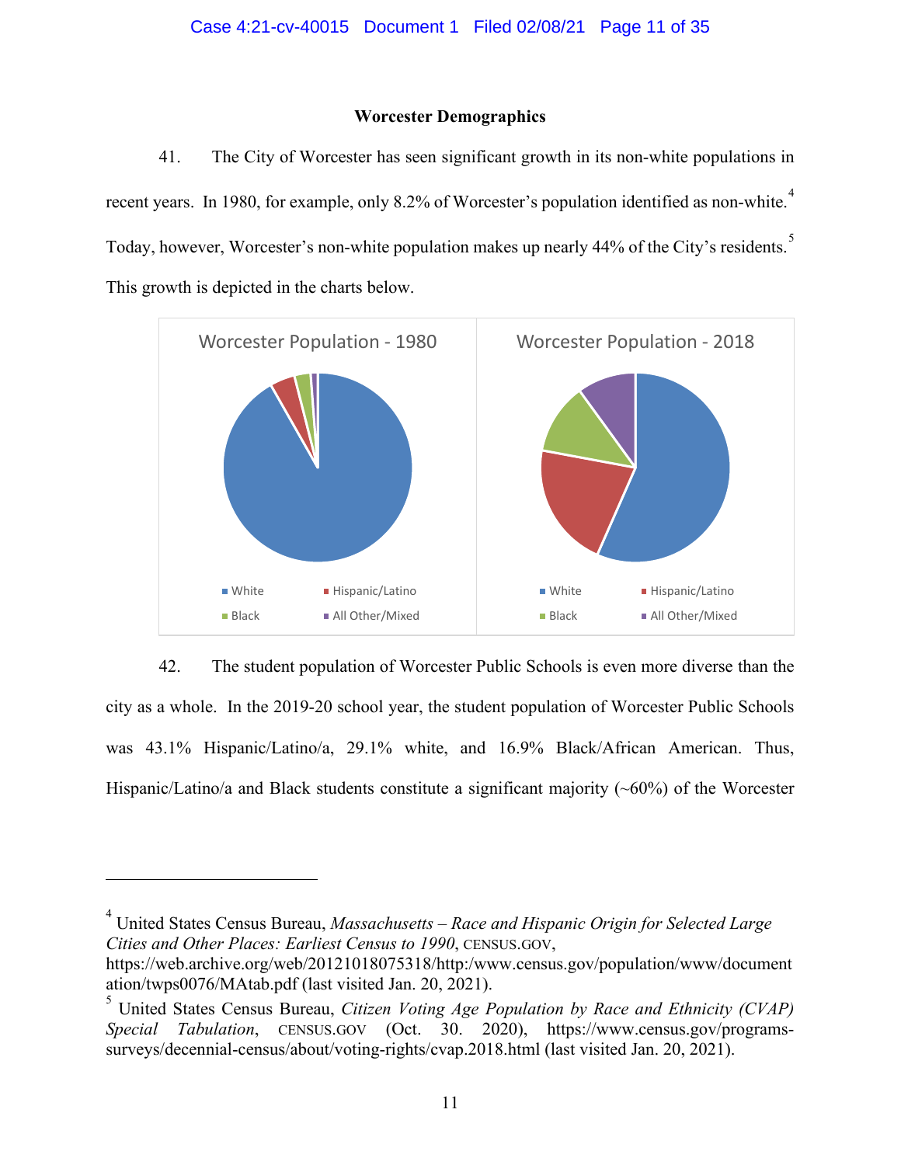## **Worcester Demographics**

41. The City of Worcester has seen significant growth in its non-white populations in recent years. In 1980, for example, only 8.2% of Worcester's population identified as non-white.<sup>[4](#page-31-0)</sup> Today, however, Worcester's non-white population makes up nearly 44% of the City's residents.<sup>[5](#page-31-0)</sup> This growth is depicted in the charts below.



# 42. The student population of Worcester Public Schools is even more diverse than the

city as a whole. In the 2019-20 school year, the student population of Worcester Public Schools was 43.1% Hispanic/Latino/a, 29.1% white, and 16.9% Black/African American. Thus, Hispanic/Latino/a and Black students constitute a significant majority  $(\sim 60\%)$  of the Worcester

4 United States Census Bureau, *Massachusetts – Race and Hispanic Origin for Selected Large Cities and Other Places: Earliest Census to 1990*, CENSUS.GOV,

https://web.archive.org/web/20121018075318/http:/www.census.gov/population/www/document ation/twps0076/MAtab.pdf (last visited Jan. 20, 2021).

<sup>5</sup> United States Census Bureau, *Citizen Voting Age Population by Race and Ethnicity (CVAP) Special Tabulation*, CENSUS.GOV (Oct. 30. 2020), https://www.census.gov/programssurveys/decennial-census/about/voting-rights/cvap.2018.html (last visited Jan. 20, 2021).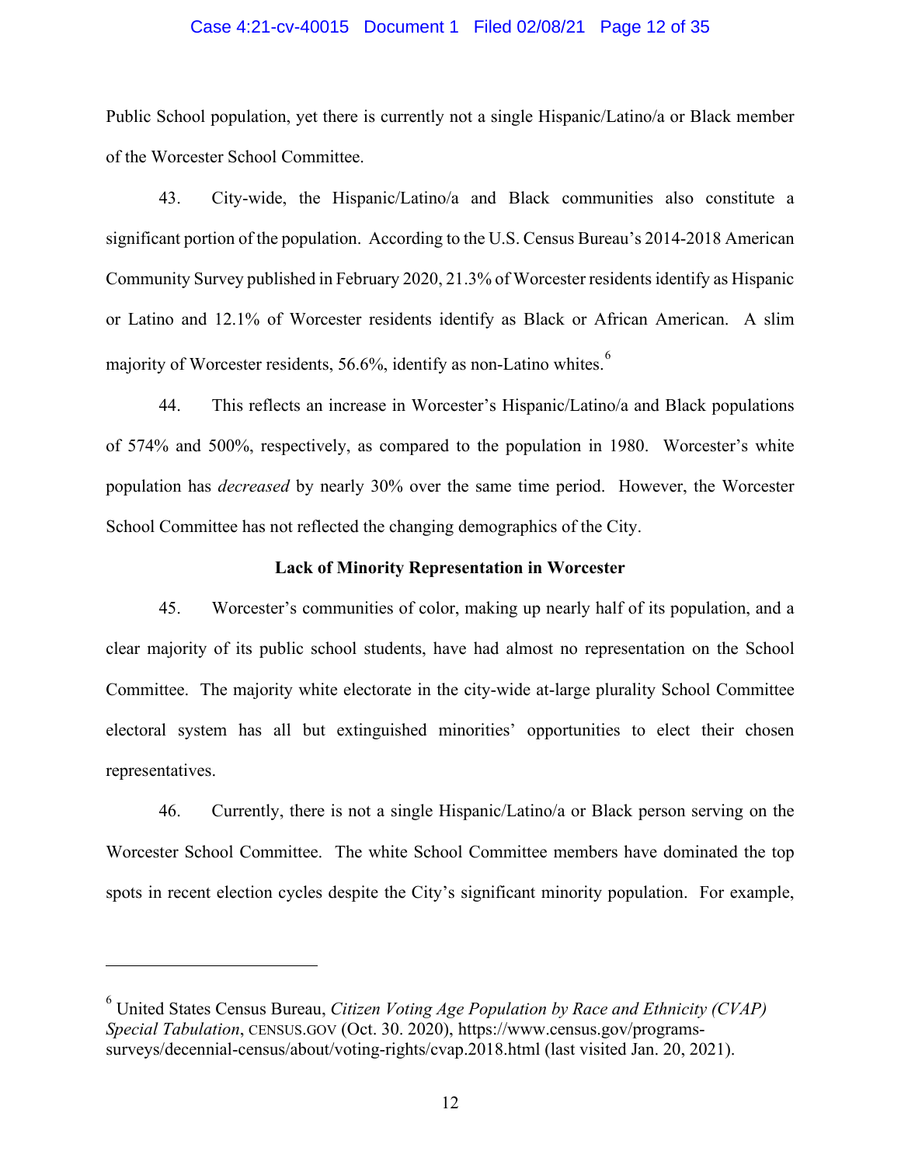#### Case 4:21-cv-40015 Document 1 Filed 02/08/21 Page 12 of 35

Public School population, yet there is currently not a single Hispanic/Latino/a or Black member of the Worcester School Committee.

43. City-wide, the Hispanic/Latino/a and Black communities also constitute a significant portion of the population. According to the U.S. Census Bureau's 2014-2018 American Community Survey published in February 2020, 21.3% of Worcester residents identify as Hispanic or Latino and 12.1% of Worcester residents identify as Black or African American. A slim majority of Worcester residents, 5[6](#page-31-0).6%, identify as non-Latino whites.<sup>6</sup>

44. This reflects an increase in Worcester's Hispanic/Latino/a and Black populations of 574% and 500%, respectively, as compared to the population in 1980. Worcester's white population has *decreased* by nearly 30% over the same time period. However, the Worcester School Committee has not reflected the changing demographics of the City.

## **Lack of Minority Representation in Worcester**

45. Worcester's communities of color, making up nearly half of its population, and a clear majority of its public school students, have had almost no representation on the School Committee. The majority white electorate in the city-wide at-large plurality School Committee electoral system has all but extinguished minorities' opportunities to elect their chosen representatives.

46. Currently, there is not a single Hispanic/Latino/a or Black person serving on the Worcester School Committee. The white School Committee members have dominated the top spots in recent election cycles despite the City's significant minority population. For example,

<sup>6</sup> United States Census Bureau, *Citizen Voting Age Population by Race and Ethnicity (CVAP) Special Tabulation*, CENSUS.GOV (Oct. 30. 2020), https://www.census.gov/programssurveys/decennial-census/about/voting-rights/cvap.2018.html (last visited Jan. 20, 2021).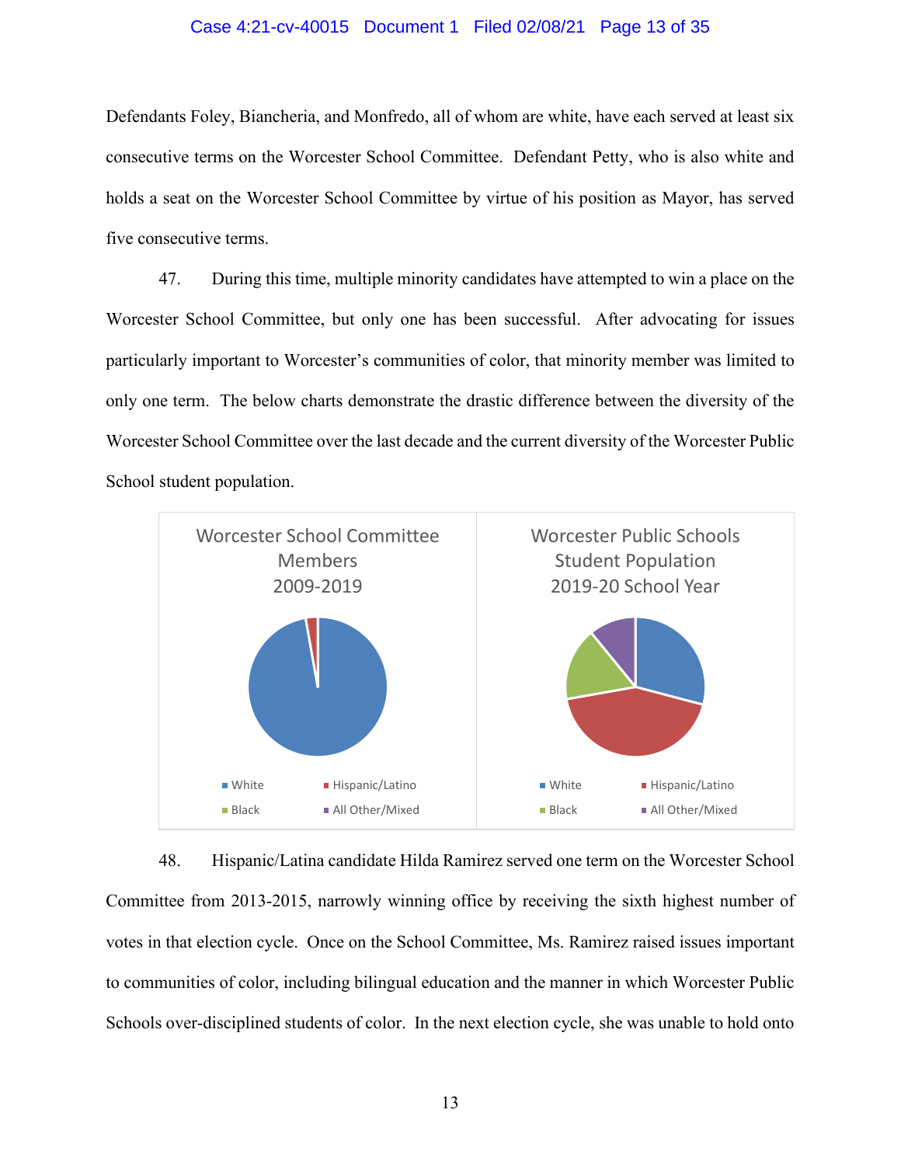#### Case 4:21-cv-40015 Document 1 Filed 02/08/21 Page 13 of 35

Defendants Foley, Biancheria, and Monfredo, all of whom are white, have each served at least six consecutive terms on the Worcester School Committee. Defendant Petty, who is also white and holds a seat on the Worcester School Committee by virtue of his position as Mayor, has served five consecutive terms.

47. During this time, multiple minority candidates have attempted to win a place on the Worcester School Committee, but only one has been successful. After advocating for issues particularly important to Worcester's communities of color, that minority member was limited to only one term. The below charts demonstrate the drastic difference between the diversity of the Worcester School Committee over the last decade and the current diversity of the Worcester Public School student population.



48. Hispanic/Latina candidate Hilda Ramirez served one term on the Worcester School Committee from 2013-2015, narrowly winning office by receiving the sixth highest number of votes in that election cycle. Once on the School Committee, Ms. Ramirez raised issues important to communities of color, including bilingual education and the manner in which Worcester Public Schools over-disciplined students of color. In the next election cycle, she was unable to hold onto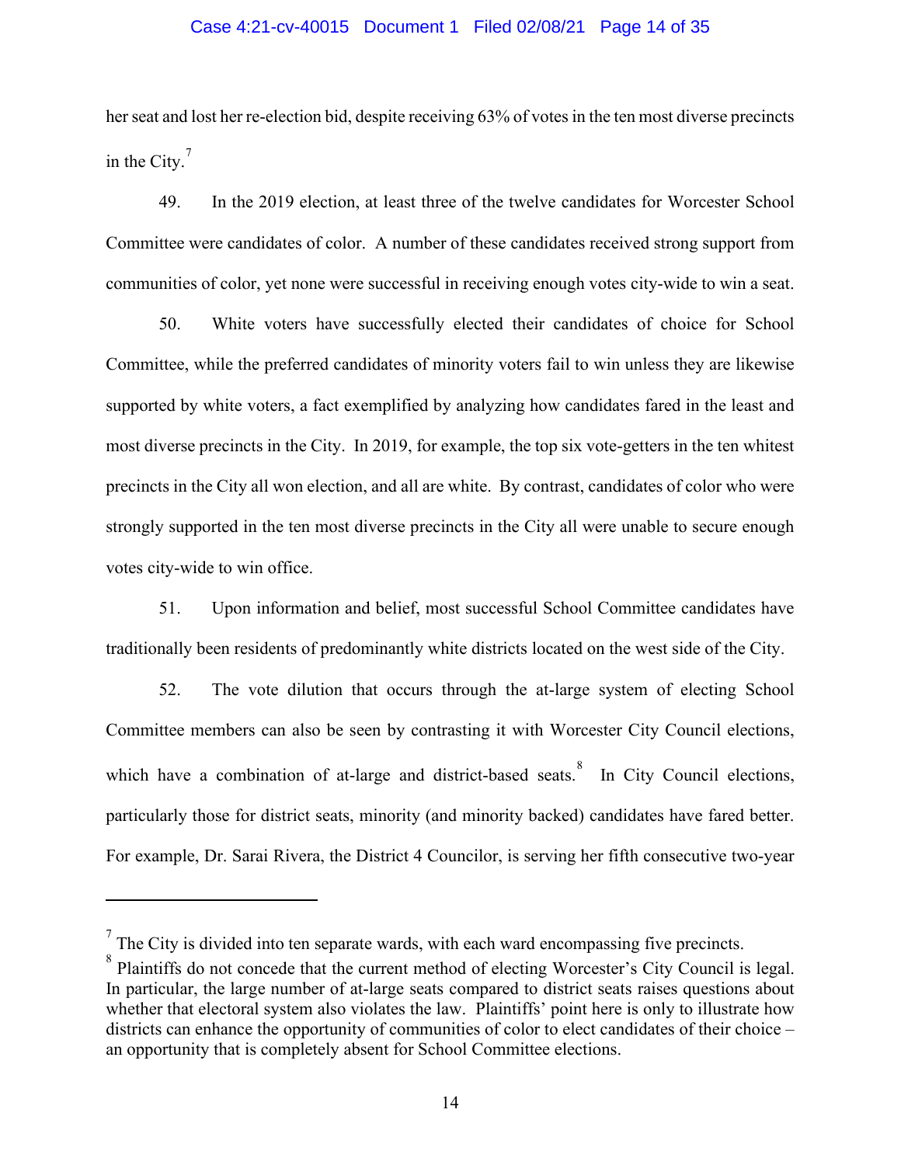#### Case 4:21-cv-40015 Document 1 Filed 02/08/21 Page 14 of 35

her seat and lost her re-election bid, despite receiving 63% of votes in the ten most diverse precincts in the City. $7$ 

49. In the 2019 election, at least three of the twelve candidates for Worcester School Committee were candidates of color. A number of these candidates received strong support from communities of color, yet none were successful in receiving enough votes city-wide to win a seat.

50. White voters have successfully elected their candidates of choice for School Committee, while the preferred candidates of minority voters fail to win unless they are likewise supported by white voters, a fact exemplified by analyzing how candidates fared in the least and most diverse precincts in the City. In 2019, for example, the top six vote-getters in the ten whitest precincts in the City all won election, and all are white. By contrast, candidates of color who were strongly supported in the ten most diverse precincts in the City all were unable to secure enough votes city-wide to win office.

51. Upon information and belief, most successful School Committee candidates have traditionally been residents of predominantly white districts located on the west side of the City.

52. The vote dilution that occurs through the at-large system of electing School Committee members can also be seen by contrasting it with Worcester City Council elections, which have a combination of at-large and district-based seats. In City Council elections, particularly those for district seats, minority (and minority backed) candidates have fared better. For example, Dr. Sarai Rivera, the District 4 Councilor, is serving her fifth consecutive two-year

 $7$  The City is divided into ten separate wards, with each ward encompassing five precincts.

<sup>&</sup>lt;sup>8</sup> Plaintiffs do not concede that the current method of electing Worcester's City Council is legal. In particular, the large number of at-large seats compared to district seats raises questions about whether that electoral system also violates the law. Plaintiffs' point here is only to illustrate how districts can enhance the opportunity of communities of color to elect candidates of their choice – an opportunity that is completely absent for School Committee elections.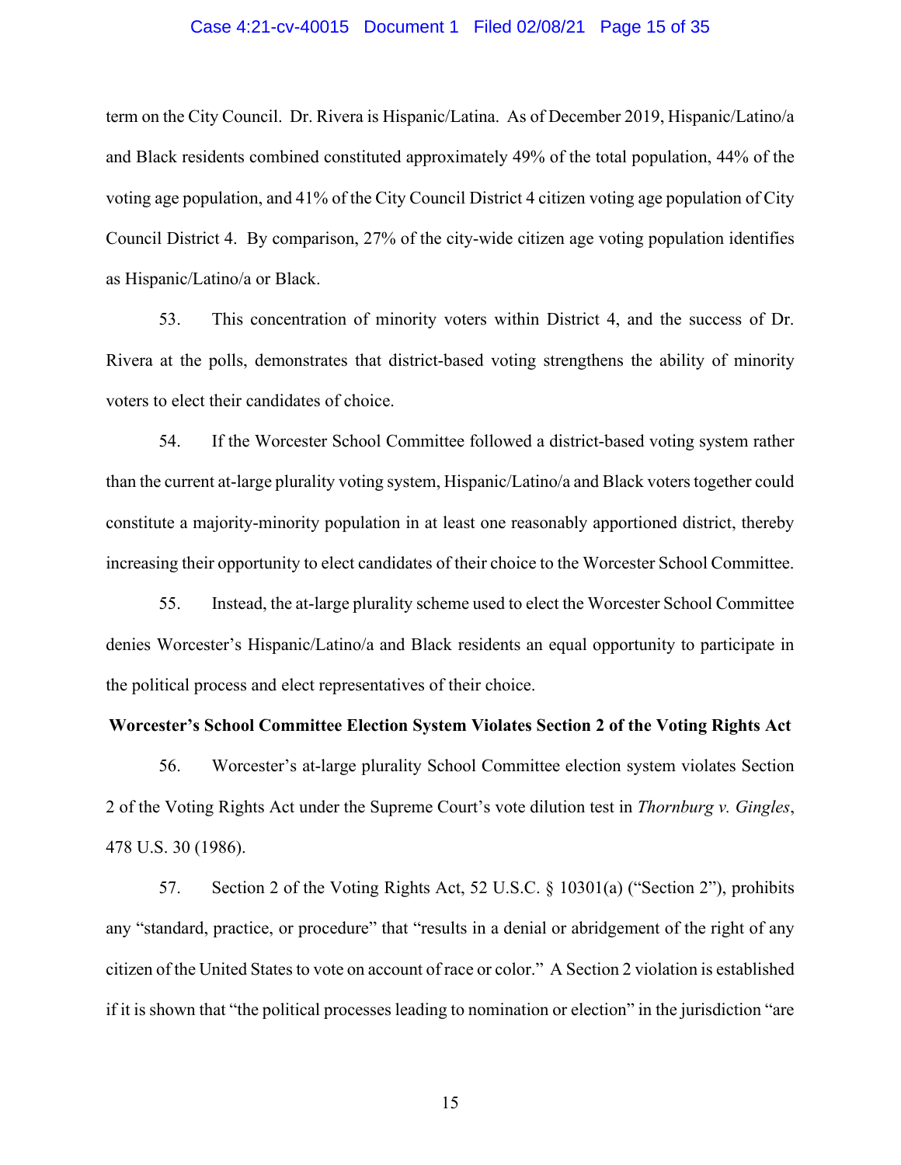#### Case 4:21-cv-40015 Document 1 Filed 02/08/21 Page 15 of 35

term on the City Council. Dr. Rivera is Hispanic/Latina. As of December 2019, Hispanic/Latino/a and Black residents combined constituted approximately 49% of the total population, 44% of the voting age population, and 41% of the City Council District 4 citizen voting age population of City Council District 4. By comparison, 27% of the city-wide citizen age voting population identifies as Hispanic/Latino/a or Black.

53. This concentration of minority voters within District 4, and the success of Dr. Rivera at the polls, demonstrates that district-based voting strengthens the ability of minority voters to elect their candidates of choice.

54. If the Worcester School Committee followed a district-based voting system rather than the current at-large plurality voting system, Hispanic/Latino/a and Black voters together could constitute a majority-minority population in at least one reasonably apportioned district, thereby increasing their opportunity to elect candidates of their choice to the Worcester School Committee.

55. Instead, the at-large plurality scheme used to elect the Worcester School Committee denies Worcester's Hispanic/Latino/a and Black residents an equal opportunity to participate in the political process and elect representatives of their choice.

#### **Worcester's School Committee Election System Violates Section 2 of the Voting Rights Act**

56. Worcester's at-large plurality School Committee election system violates Section 2 of the Voting Rights Act under the Supreme Court's vote dilution test in *Thornburg v. Gingles*, 478 U.S. 30 (1986).

57. Section 2 of the Voting Rights Act, 52 U.S.C. § 10301(a) ("Section 2"), prohibits any "standard, practice, or procedure" that "results in a denial or abridgement of the right of any citizen of the United States to vote on account of race or color." A Section 2 violation is established if it is shown that "the political processes leading to nomination or election" in the jurisdiction "are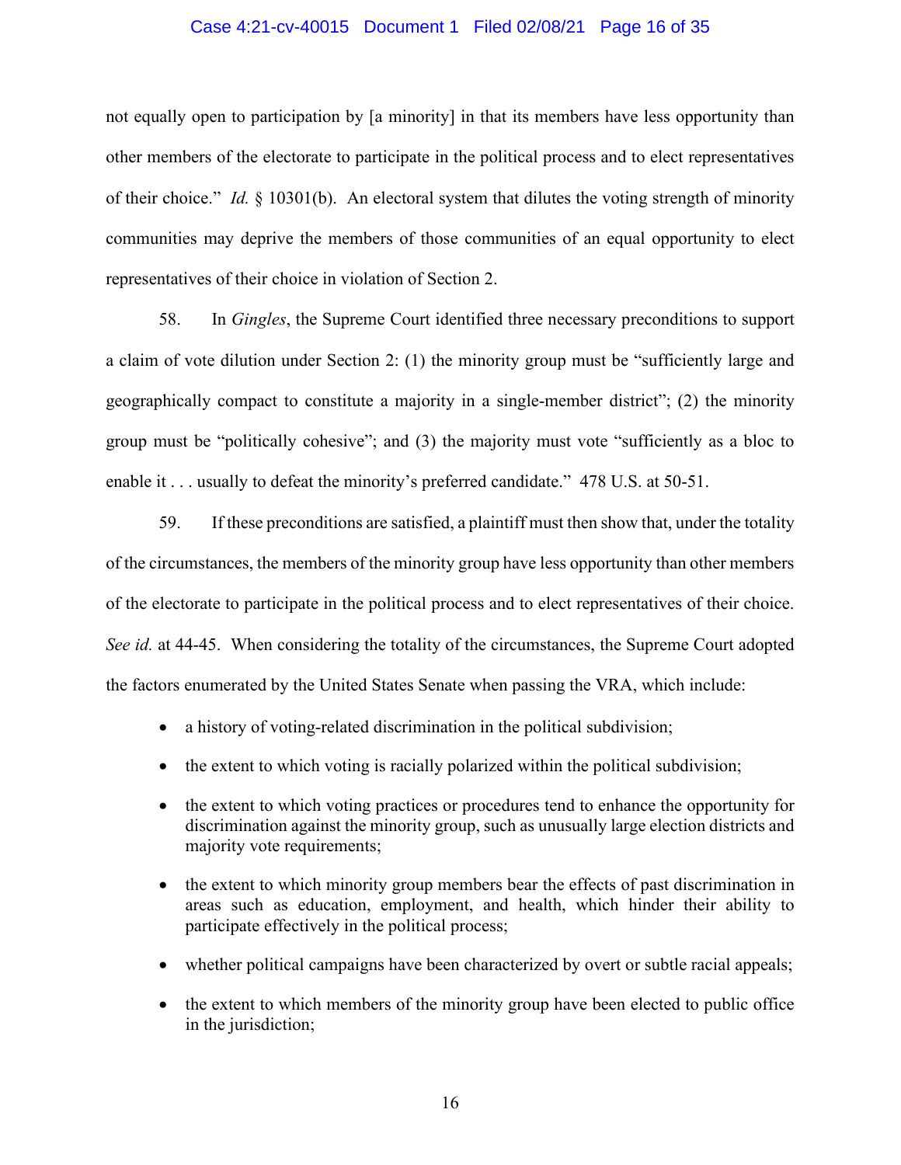#### Case 4:21-cv-40015 Document 1 Filed 02/08/21 Page 16 of 35

not equally open to participation by [a minority] in that its members have less opportunity than other members of the electorate to participate in the political process and to elect representatives of their choice." *Id.* § 10301(b). An electoral system that dilutes the voting strength of minority communities may deprive the members of those communities of an equal opportunity to elect representatives of their choice in violation of Section 2.

58. In *Gingles*, the Supreme Court identified three necessary preconditions to support a claim of vote dilution under Section 2: (1) the minority group must be "sufficiently large and geographically compact to constitute a majority in a single-member district"; (2) the minority group must be "politically cohesive"; and (3) the majority must vote "sufficiently as a bloc to enable it . . . usually to defeat the minority's preferred candidate." 478 U.S. at 50-51.

59. If these preconditions are satisfied, a plaintiff must then show that, under the totality of the circumstances, the members of the minority group have less opportunity than other members of the electorate to participate in the political process and to elect representatives of their choice. *See id.* at 44-45. When considering the totality of the circumstances, the Supreme Court adopted the factors enumerated by the United States Senate when passing the VRA, which include:

- a history of voting-related discrimination in the political subdivision;
- the extent to which voting is racially polarized within the political subdivision;
- the extent to which voting practices or procedures tend to enhance the opportunity for discrimination against the minority group, such as unusually large election districts and majority vote requirements;
- the extent to which minority group members bear the effects of past discrimination in areas such as education, employment, and health, which hinder their ability to participate effectively in the political process;
- whether political campaigns have been characterized by overt or subtle racial appeals;
- the extent to which members of the minority group have been elected to public office in the jurisdiction;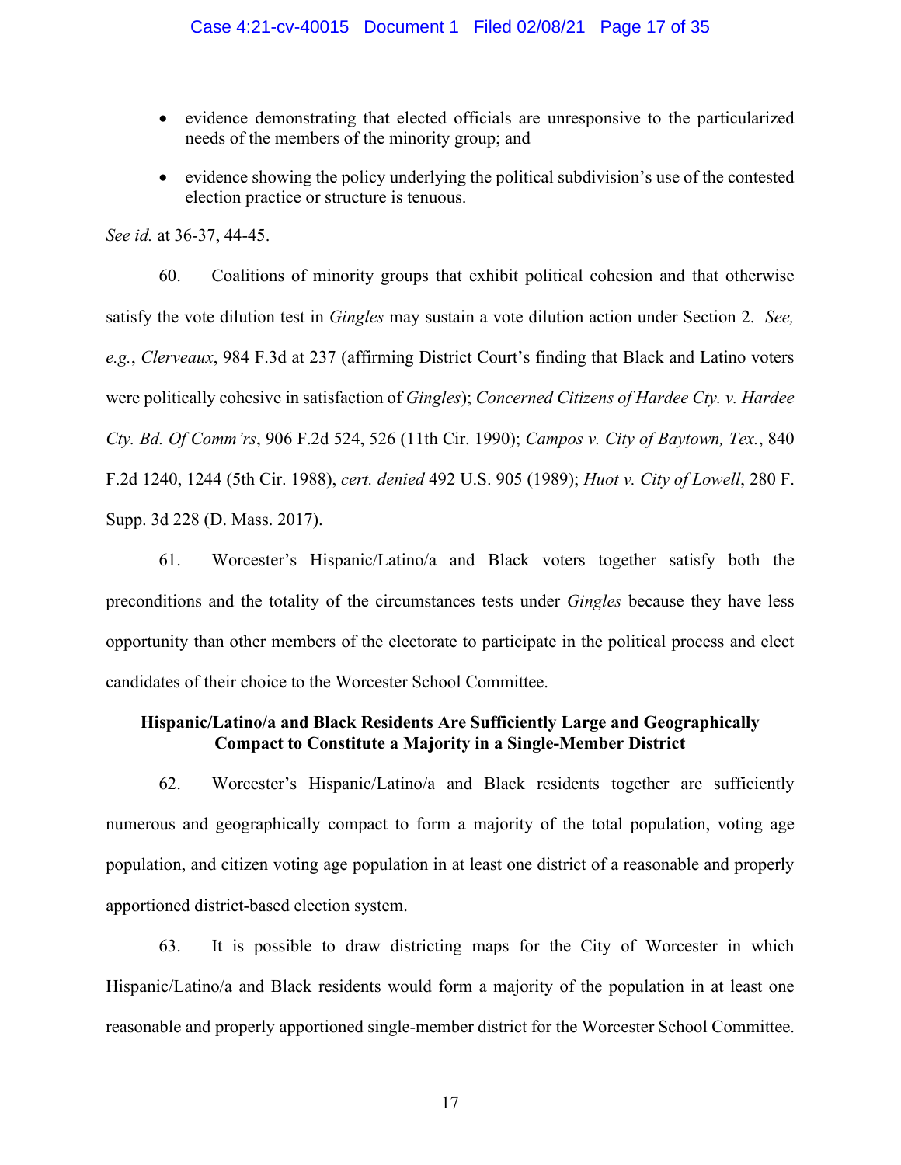- evidence demonstrating that elected officials are unresponsive to the particularized needs of the members of the minority group; and
- evidence showing the policy underlying the political subdivision's use of the contested election practice or structure is tenuous.

*See id.* at 36-37, 44-45.

60. Coalitions of minority groups that exhibit political cohesion and that otherwise satisfy the vote dilution test in *Gingles* may sustain a vote dilution action under Section 2. *See, e.g.*, *Clerveaux*, 984 F.3d at 237 (affirming District Court's finding that Black and Latino voters were politically cohesive in satisfaction of *Gingles*); *Concerned Citizens of Hardee Cty. v. Hardee Cty. Bd. Of Comm'rs*, 906 F.2d 524, 526 (11th Cir. 1990); *Campos v. City of Baytown, Tex.*, 840 F.2d 1240, 1244 (5th Cir. 1988), *cert. denied* 492 U.S. 905 (1989); *Huot v. City of Lowell*, 280 F. Supp. 3d 228 (D. Mass. 2017).

61. Worcester's Hispanic/Latino/a and Black voters together satisfy both the preconditions and the totality of the circumstances tests under *Gingles* because they have less opportunity than other members of the electorate to participate in the political process and elect candidates of their choice to the Worcester School Committee.

# **Hispanic/Latino/a and Black Residents Are Sufficiently Large and Geographically Compact to Constitute a Majority in a Single-Member District**

62. Worcester's Hispanic/Latino/a and Black residents together are sufficiently numerous and geographically compact to form a majority of the total population, voting age population, and citizen voting age population in at least one district of a reasonable and properly apportioned district-based election system.

63. It is possible to draw districting maps for the City of Worcester in which Hispanic/Latino/a and Black residents would form a majority of the population in at least one reasonable and properly apportioned single-member district for the Worcester School Committee.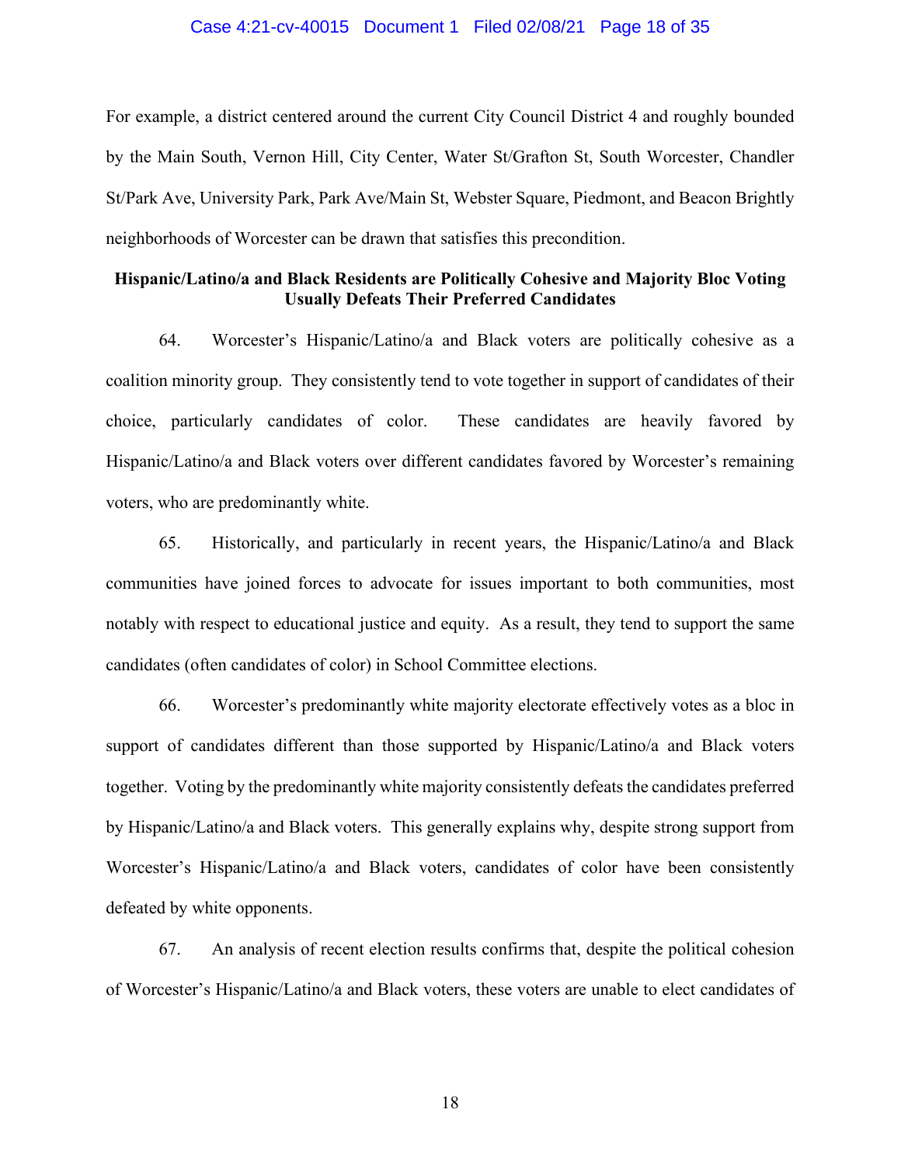#### Case 4:21-cv-40015 Document 1 Filed 02/08/21 Page 18 of 35

For example, a district centered around the current City Council District 4 and roughly bounded by the Main South, Vernon Hill, City Center, Water St/Grafton St, South Worcester, Chandler St/Park Ave, University Park, Park Ave/Main St, Webster Square, Piedmont, and Beacon Brightly neighborhoods of Worcester can be drawn that satisfies this precondition.

## **Hispanic/Latino/a and Black Residents are Politically Cohesive and Majority Bloc Voting Usually Defeats Their Preferred Candidates**

64. Worcester's Hispanic/Latino/a and Black voters are politically cohesive as a coalition minority group. They consistently tend to vote together in support of candidates of their choice, particularly candidates of color. These candidates are heavily favored by Hispanic/Latino/a and Black voters over different candidates favored by Worcester's remaining voters, who are predominantly white.

65. Historically, and particularly in recent years, the Hispanic/Latino/a and Black communities have joined forces to advocate for issues important to both communities, most notably with respect to educational justice and equity. As a result, they tend to support the same candidates (often candidates of color) in School Committee elections.

66. Worcester's predominantly white majority electorate effectively votes as a bloc in support of candidates different than those supported by Hispanic/Latino/a and Black voters together. Voting by the predominantly white majority consistently defeats the candidates preferred by Hispanic/Latino/a and Black voters. This generally explains why, despite strong support from Worcester's Hispanic/Latino/a and Black voters, candidates of color have been consistently defeated by white opponents.

67. An analysis of recent election results confirms that, despite the political cohesion of Worcester's Hispanic/Latino/a and Black voters, these voters are unable to elect candidates of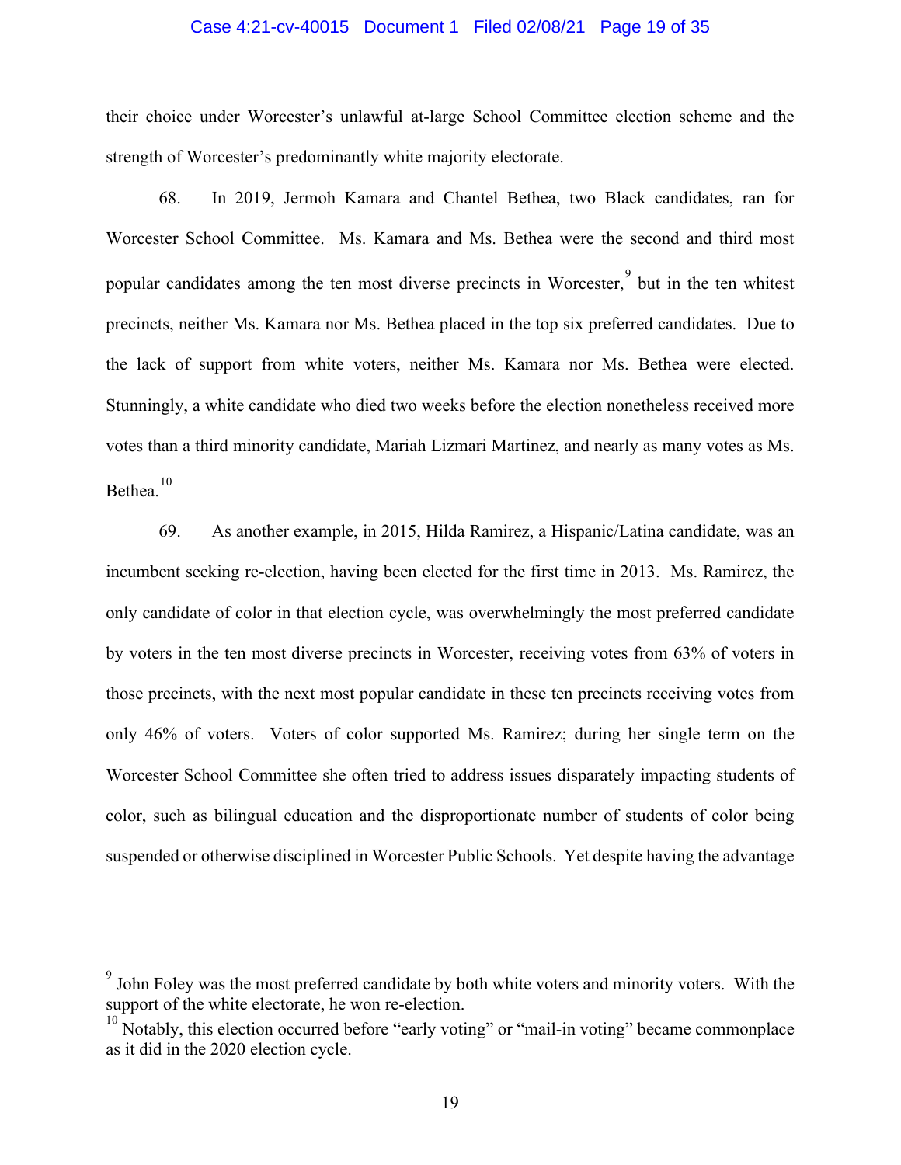#### Case 4:21-cv-40015 Document 1 Filed 02/08/21 Page 19 of 35

their choice under Worcester's unlawful at-large School Committee election scheme and the strength of Worcester's predominantly white majority electorate.

68. In 2019, Jermoh Kamara and Chantel Bethea, two Black candidates, ran for Worcester School Committee. Ms. Kamara and Ms. Bethea were the second and third most popular candidates among the ten most diverse precincts in Worcester, but in the ten whitest precincts, neither Ms. Kamara nor Ms. Bethea placed in the top six preferred candidates. Due to the lack of support from white voters, neither Ms. Kamara nor Ms. Bethea were elected. Stunningly, a white candidate who died two weeks before the election nonetheless received more votes than a third minority candidate, Mariah Lizmari Martinez, and nearly as many votes as Ms. Bethea.<sup>[10](#page-31-0)</sup>

69. As another example, in 2015, Hilda Ramirez, a Hispanic/Latina candidate, was an incumbent seeking re-election, having been elected for the first time in 2013. Ms. Ramirez, the only candidate of color in that election cycle, was overwhelmingly the most preferred candidate by voters in the ten most diverse precincts in Worcester, receiving votes from 63% of voters in those precincts, with the next most popular candidate in these ten precincts receiving votes from only 46% of voters. Voters of color supported Ms. Ramirez; during her single term on the Worcester School Committee she often tried to address issues disparately impacting students of color, such as bilingual education and the disproportionate number of students of color being suspended or otherwise disciplined in Worcester Public Schools. Yet despite having the advantage

 $9^9$  John Foley was the most preferred candidate by both white voters and minority voters. With the support of the white electorate, he won re-election.

 $10$  Notably, this election occurred before "early voting" or "mail-in voting" became commonplace as it did in the 2020 election cycle.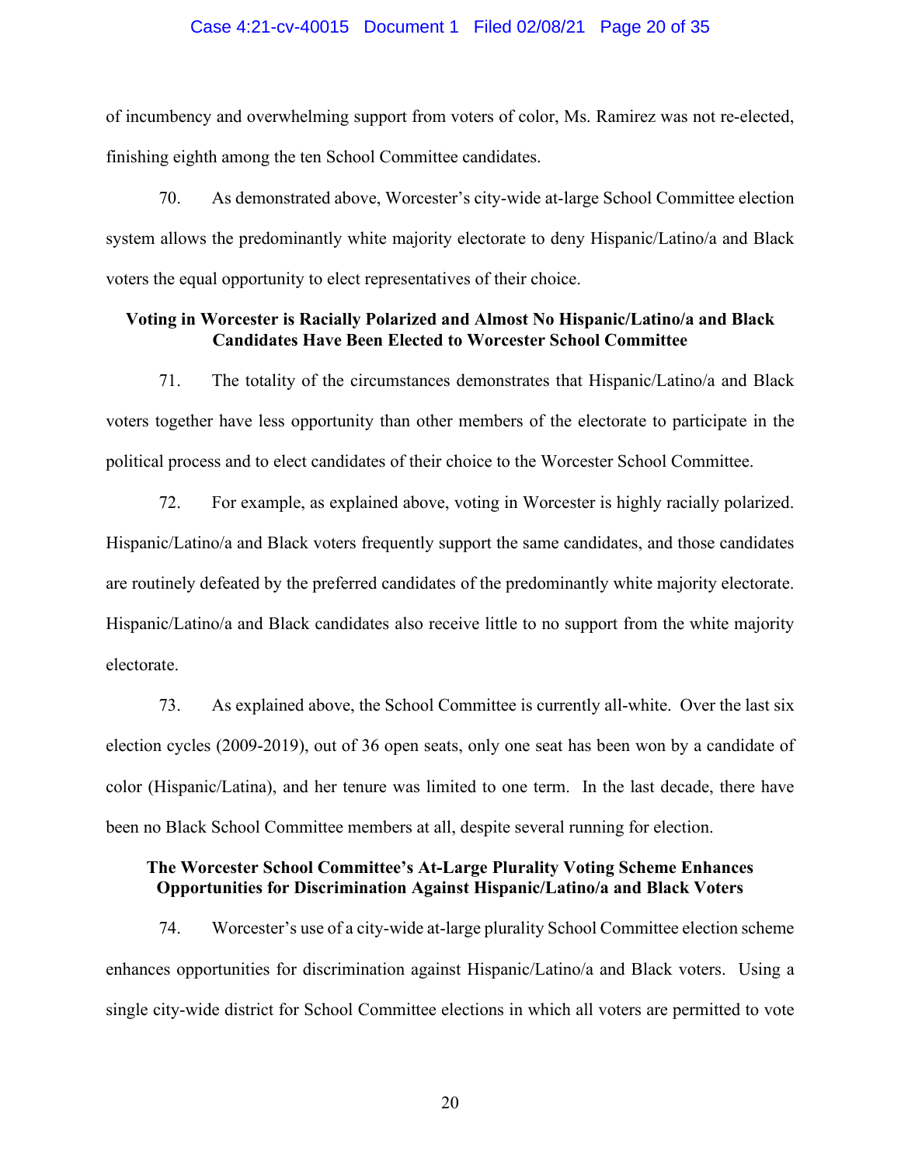#### Case 4:21-cv-40015 Document 1 Filed 02/08/21 Page 20 of 35

of incumbency and overwhelming support from voters of color, Ms. Ramirez was not re-elected, finishing eighth among the ten School Committee candidates.

70. As demonstrated above, Worcester's city-wide at-large School Committee election system allows the predominantly white majority electorate to deny Hispanic/Latino/a and Black voters the equal opportunity to elect representatives of their choice.

# **Voting in Worcester is Racially Polarized and Almost No Hispanic/Latino/a and Black Candidates Have Been Elected to Worcester School Committee**

71. The totality of the circumstances demonstrates that Hispanic/Latino/a and Black voters together have less opportunity than other members of the electorate to participate in the political process and to elect candidates of their choice to the Worcester School Committee.

72. For example, as explained above, voting in Worcester is highly racially polarized. Hispanic/Latino/a and Black voters frequently support the same candidates, and those candidates are routinely defeated by the preferred candidates of the predominantly white majority electorate. Hispanic/Latino/a and Black candidates also receive little to no support from the white majority electorate.

73. As explained above, the School Committee is currently all-white. Over the last six election cycles (2009-2019), out of 36 open seats, only one seat has been won by a candidate of color (Hispanic/Latina), and her tenure was limited to one term. In the last decade, there have been no Black School Committee members at all, despite several running for election.

# **The Worcester School Committee's At-Large Plurality Voting Scheme Enhances Opportunities for Discrimination Against Hispanic/Latino/a and Black Voters**

74. Worcester's use of a city-wide at-large plurality School Committee election scheme enhances opportunities for discrimination against Hispanic/Latino/a and Black voters. Using a single city-wide district for School Committee elections in which all voters are permitted to vote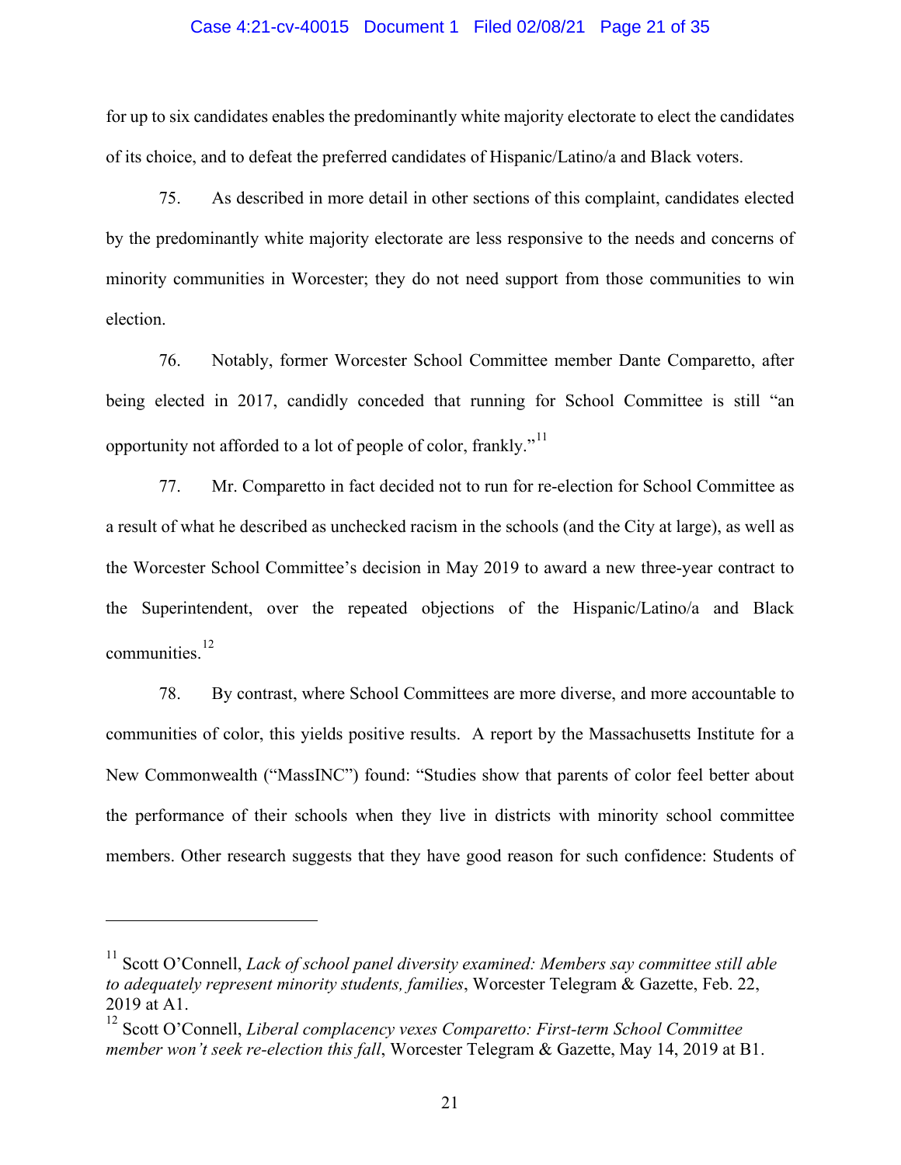#### Case 4:21-cv-40015 Document 1 Filed 02/08/21 Page 21 of 35

for up to six candidates enables the predominantly white majority electorate to elect the candidates of its choice, and to defeat the preferred candidates of Hispanic/Latino/a and Black voters.

75. As described in more detail in other sections of this complaint, candidates elected by the predominantly white majority electorate are less responsive to the needs and concerns of minority communities in Worcester; they do not need support from those communities to win election.

76. Notably, former Worcester School Committee member Dante Comparetto, after being elected in 2017, candidly conceded that running for School Committee is still "an opportunity not afforded to a lot of people of color, frankly."<sup>[11](#page-31-0)</sup>

77. Mr. Comparetto in fact decided not to run for re-election for School Committee as a result of what he described as unchecked racism in the schools (and the City at large), as well as the Worcester School Committee's decision in May 2019 to award a new three-year contract to the Superintendent, over the repeated objections of the Hispanic/Latino/a and Black communities. [12](#page-31-0)

78. By contrast, where School Committees are more diverse, and more accountable to communities of color, this yields positive results. A report by the Massachusetts Institute for a New Commonwealth ("MassINC") found: "Studies show that parents of color feel better about the performance of their schools when they live in districts with minority school committee members. Other research suggests that they have good reason for such confidence: Students of

<sup>&</sup>lt;sup>11</sup> Scott O'Connell, *Lack of school panel diversity examined: Members say committee still able to adequately represent minority students, families*, Worcester Telegram & Gazette, Feb. 22, 2019 at A1.

<sup>12</sup> Scott O'Connell, *Liberal complacency vexes Comparetto: First-term School Committee member won't seek re-election this fall*, Worcester Telegram & Gazette, May 14, 2019 at B1.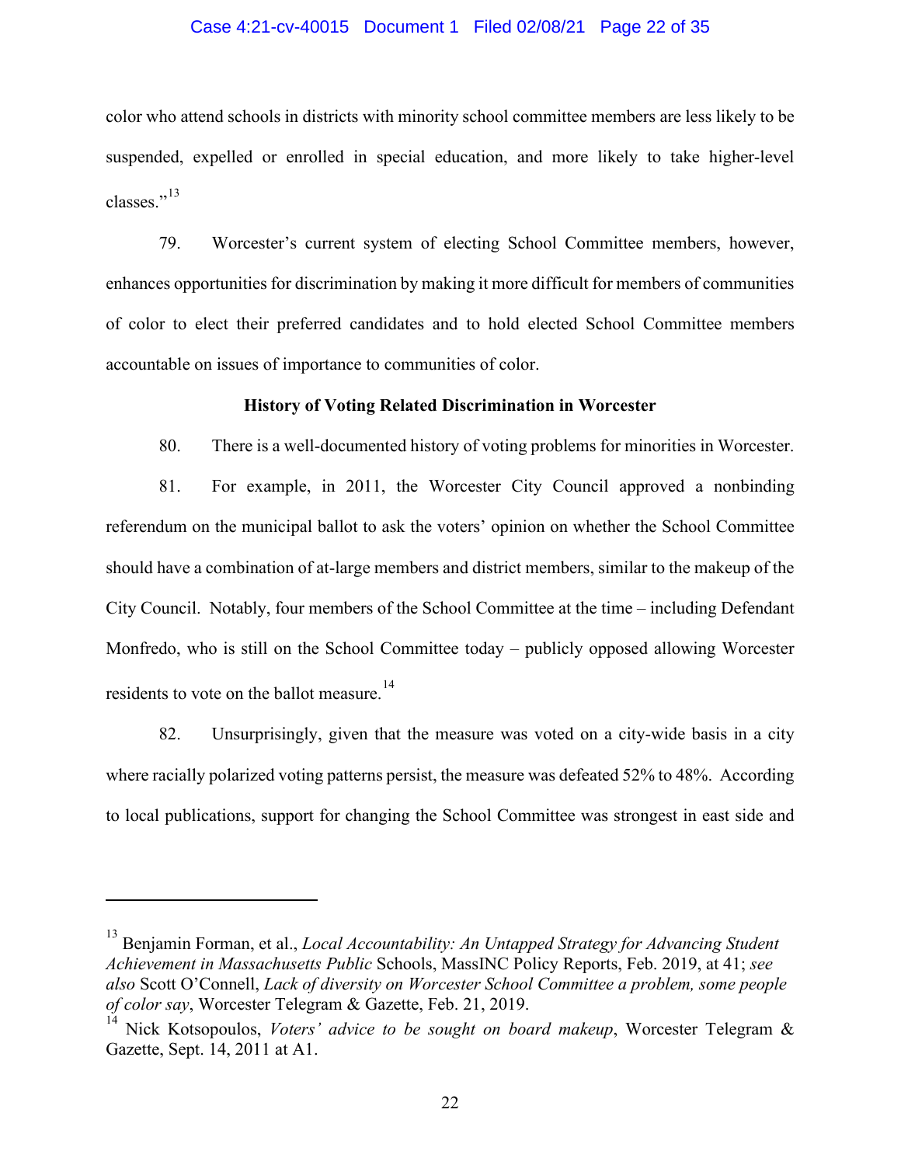#### Case 4:21-cv-40015 Document 1 Filed 02/08/21 Page 22 of 35

color who attend schools in districts with minority school committee members are less likely to be suspended, expelled or enrolled in special education, and more likely to take higher-level classes." $^{13}$  $^{13}$  $^{13}$ 

79. Worcester's current system of electing School Committee members, however, enhances opportunities for discrimination by making it more difficult for members of communities of color to elect their preferred candidates and to hold elected School Committee members accountable on issues of importance to communities of color.

## **History of Voting Related Discrimination in Worcester**

80. There is a well-documented history of voting problems for minorities in Worcester.

81. For example, in 2011, the Worcester City Council approved a nonbinding referendum on the municipal ballot to ask the voters' opinion on whether the School Committee should have a combination of at-large members and district members, similar to the makeup of the City Council. Notably, four members of the School Committee at the time – including Defendant Monfredo, who is still on the School Committee today – publicly opposed allowing Worcester residents to vote on the ballot measure.<sup>[14](#page-31-0)</sup>

82. Unsurprisingly, given that the measure was voted on a city-wide basis in a city where racially polarized voting patterns persist, the measure was defeated 52% to 48%. According to local publications, support for changing the School Committee was strongest in east side and

<sup>13</sup> Benjamin Forman, et al., *Local Accountability: An Untapped Strategy for Advancing Student Achievement in Massachusetts Public* Schools, MassINC Policy Reports, Feb. 2019, at 41; *see also* Scott O'Connell, *Lack of diversity on Worcester School Committee a problem, some people of color say*, Worcester Telegram & Gazette, Feb. 21, 2019.

<sup>14</sup> Nick Kotsopoulos, *Voters' advice to be sought on board makeup*, Worcester Telegram & Gazette, Sept. 14, 2011 at A1.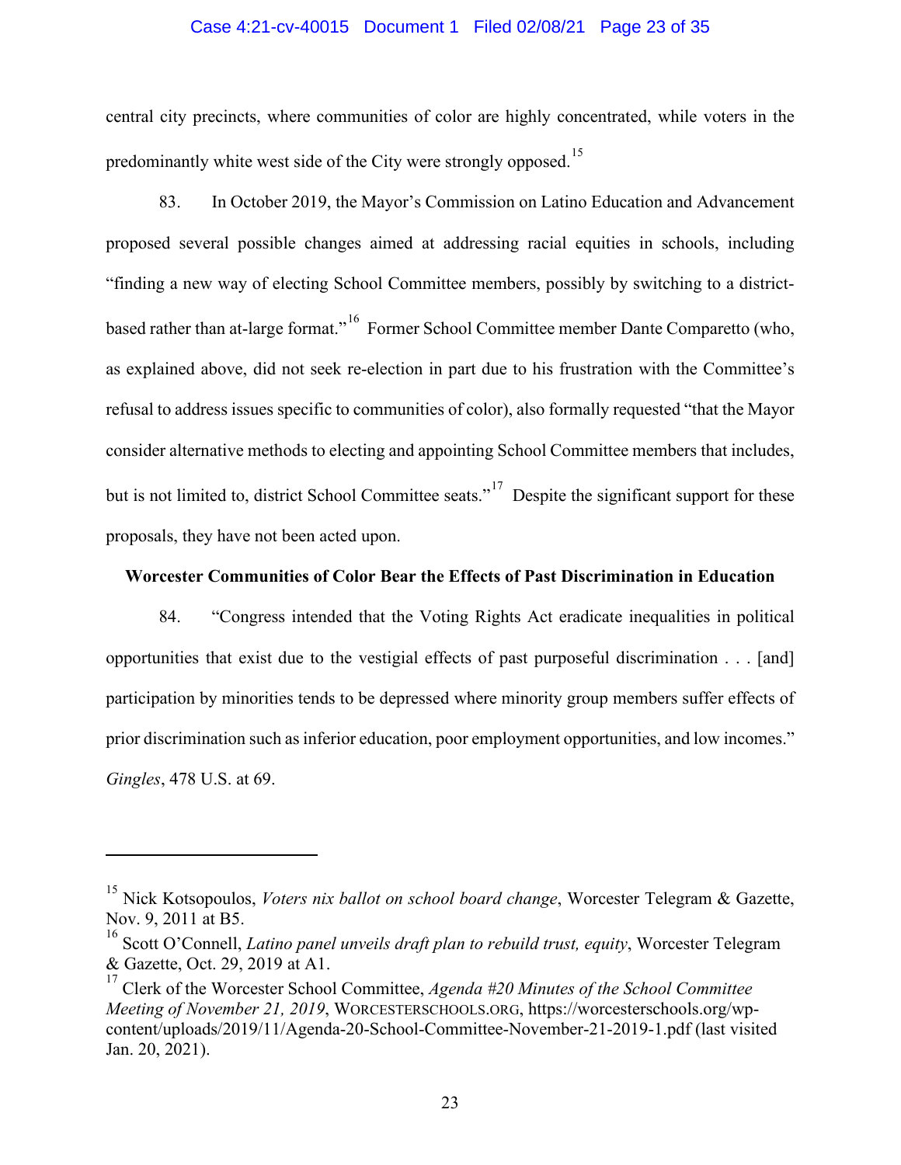#### Case 4:21-cv-40015 Document 1 Filed 02/08/21 Page 23 of 35

central city precincts, where communities of color are highly concentrated, while voters in the predominantly white west side of the City were strongly opposed.<sup>15</sup>

83. In October 2019, the Mayor's Commission on Latino Education and Advancement proposed several possible changes aimed at addressing racial equities in schools, including "finding a new way of electing School Committee members, possibly by switching to a district-based rather than at-large format."<sup>[16](#page-31-0)</sup> Former School Committee member Dante Comparetto (who, as explained above, did not seek re-election in part due to his frustration with the Committee's refusal to address issues specific to communities of color), also formally requested "that the Mayor consider alternative methods to electing and appointing School Committee members that includes, but is not limited to, district School Committee seats."<sup>[17](#page-31-0)</sup> Despite the significant support for these proposals, they have not been acted upon.

# **Worcester Communities of Color Bear the Effects of Past Discrimination in Education**

84. "Congress intended that the Voting Rights Act eradicate inequalities in political opportunities that exist due to the vestigial effects of past purposeful discrimination . . . [and] participation by minorities tends to be depressed where minority group members suffer effects of prior discrimination such as inferior education, poor employment opportunities, and low incomes." *Gingles*, 478 U.S. at 69.

<sup>&</sup>lt;sup>15</sup> Nick Kotsopoulos, *Voters nix ballot on school board change*, Worcester Telegram & Gazette, Nov. 9, 2011 at B5.

<sup>16</sup> Scott O'Connell, *Latino panel unveils draft plan to rebuild trust, equity*, Worcester Telegram & Gazette, Oct. 29, 2019 at A1.

<sup>17</sup> Clerk of the Worcester School Committee, *Agenda #20 Minutes of the School Committee Meeting of November 21, 2019*, WORCESTERSCHOOLS.ORG, https://worcesterschools.org/wpcontent/uploads/2019/11/Agenda-20-School-Committee-November-21-2019-1.pdf (last visited Jan. 20, 2021).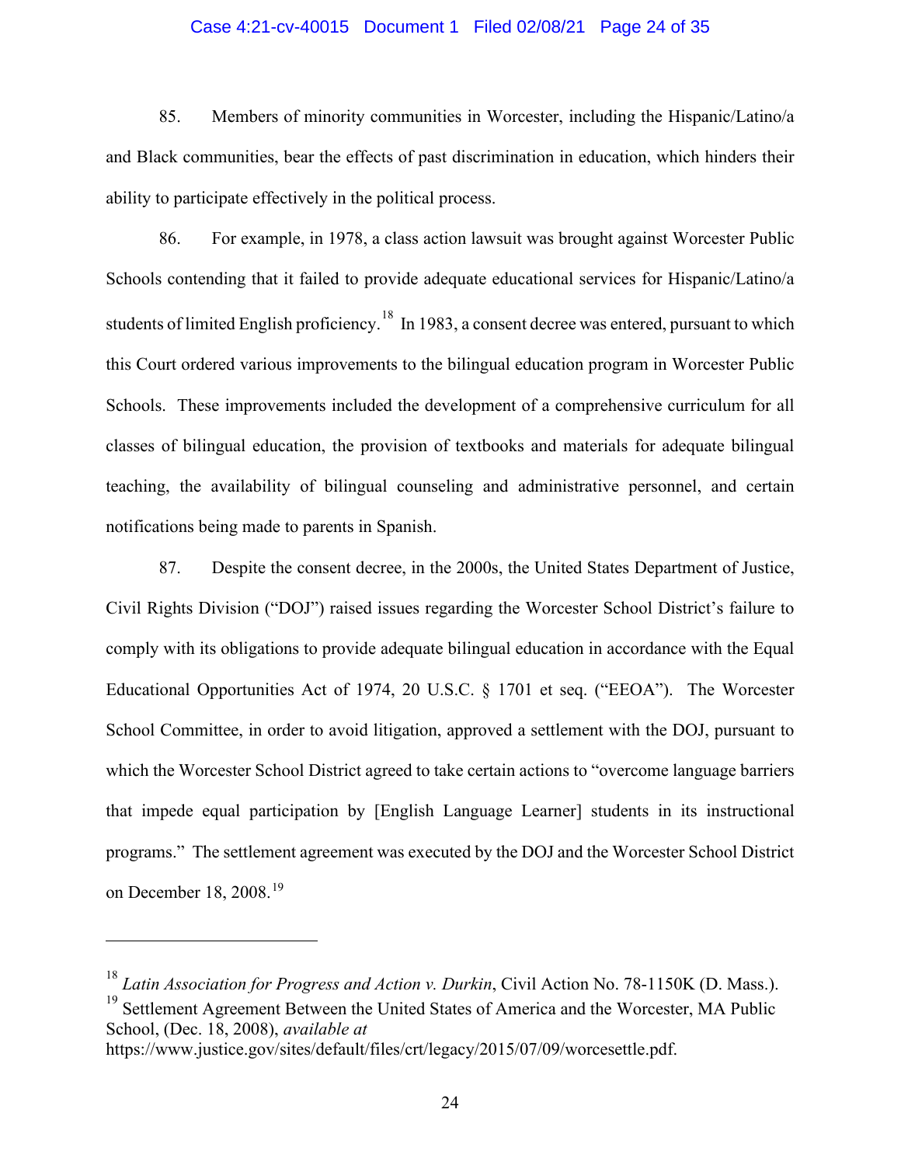## Case 4:21-cv-40015 Document 1 Filed 02/08/21 Page 24 of 35

85. Members of minority communities in Worcester, including the Hispanic/Latino/a and Black communities, bear the effects of past discrimination in education, which hinders their ability to participate effectively in the political process.

86. For example, in 1978, a class action lawsuit was brought against Worcester Public Schools contending that it failed to provide adequate educational services for Hispanic/Latino/a students of limited English proficiency.<sup>18</sup> In 1983, a consent decree was entered, pursuant to which this Court ordered various improvements to the bilingual education program in Worcester Public Schools. These improvements included the development of a comprehensive curriculum for all classes of bilingual education, the provision of textbooks and materials for adequate bilingual teaching, the availability of bilingual counseling and administrative personnel, and certain notifications being made to parents in Spanish.

87. Despite the consent decree, in the 2000s, the United States Department of Justice, Civil Rights Division ("DOJ") raised issues regarding the Worcester School District's failure to comply with its obligations to provide adequate bilingual education in accordance with the Equal Educational Opportunities Act of 1974, 20 U.S.C. § 1701 et seq. ("EEOA"). The Worcester School Committee, in order to avoid litigation, approved a settlement with the DOJ, pursuant to which the Worcester School District agreed to take certain actions to "overcome language barriers that impede equal participation by [English Language Learner] students in its instructional programs." The settlement agreement was executed by the DOJ and the Worcester School District on December 18, 2008.[19](#page-31-0)

<sup>18</sup> *Latin Association for Progress and Action v. Durkin*, Civil Action No. 78-1150K (D. Mass.).

<sup>&</sup>lt;sup>19</sup> Settlement Agreement Between the United States of America and the Worcester, MA Public School, (Dec. 18, 2008), *available at*

https://www.justice.gov/sites/default/files/crt/legacy/2015/07/09/worcesettle.pdf.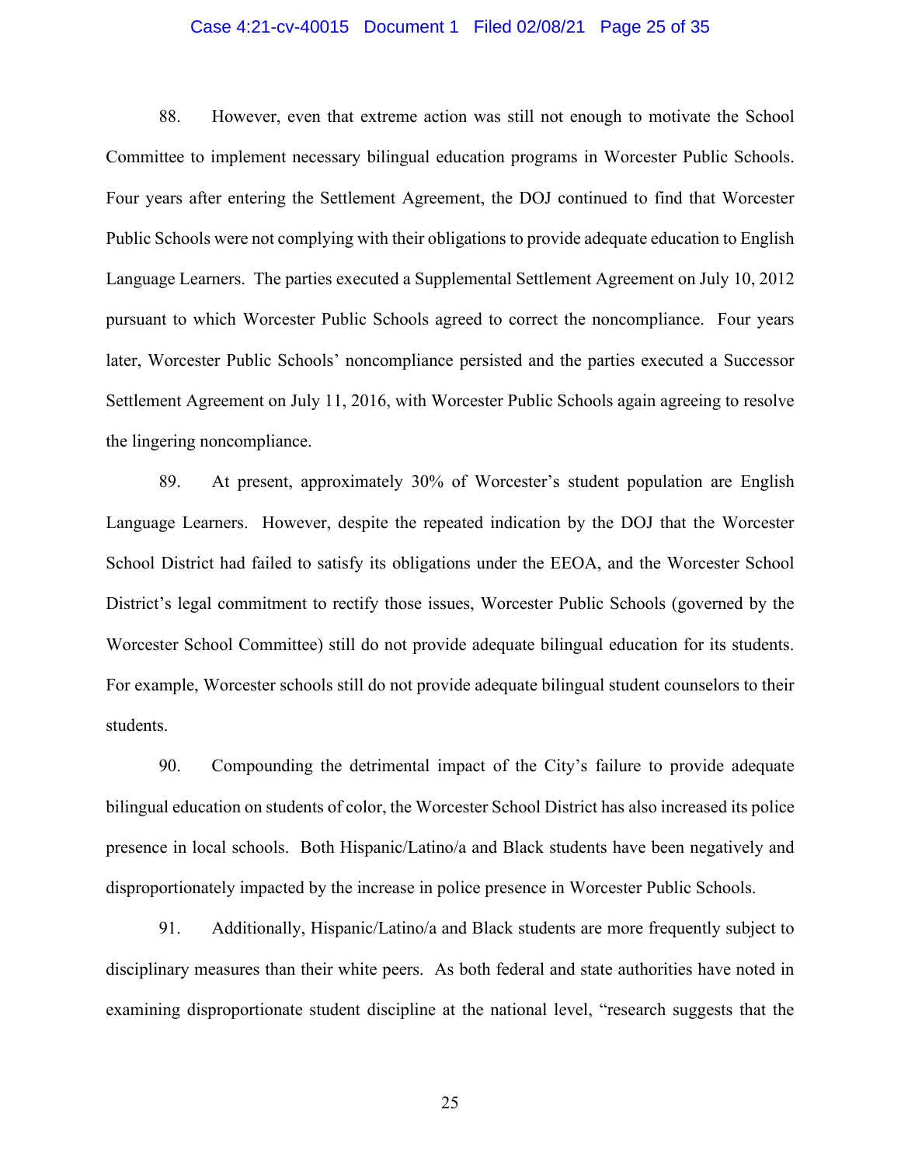#### Case 4:21-cv-40015 Document 1 Filed 02/08/21 Page 25 of 35

88. However, even that extreme action was still not enough to motivate the School Committee to implement necessary bilingual education programs in Worcester Public Schools. Four years after entering the Settlement Agreement, the DOJ continued to find that Worcester Public Schools were not complying with their obligations to provide adequate education to English Language Learners. The parties executed a Supplemental Settlement Agreement on July 10, 2012 pursuant to which Worcester Public Schools agreed to correct the noncompliance. Four years later, Worcester Public Schools' noncompliance persisted and the parties executed a Successor Settlement Agreement on July 11, 2016, with Worcester Public Schools again agreeing to resolve the lingering noncompliance.

89. At present, approximately 30% of Worcester's student population are English Language Learners. However, despite the repeated indication by the DOJ that the Worcester School District had failed to satisfy its obligations under the EEOA, and the Worcester School District's legal commitment to rectify those issues, Worcester Public Schools (governed by the Worcester School Committee) still do not provide adequate bilingual education for its students. For example, Worcester schools still do not provide adequate bilingual student counselors to their students.

90. Compounding the detrimental impact of the City's failure to provide adequate bilingual education on students of color, the Worcester School District has also increased its police presence in local schools. Both Hispanic/Latino/a and Black students have been negatively and disproportionately impacted by the increase in police presence in Worcester Public Schools.

91. Additionally, Hispanic/Latino/a and Black students are more frequently subject to disciplinary measures than their white peers. As both federal and state authorities have noted in examining disproportionate student discipline at the national level, "research suggests that the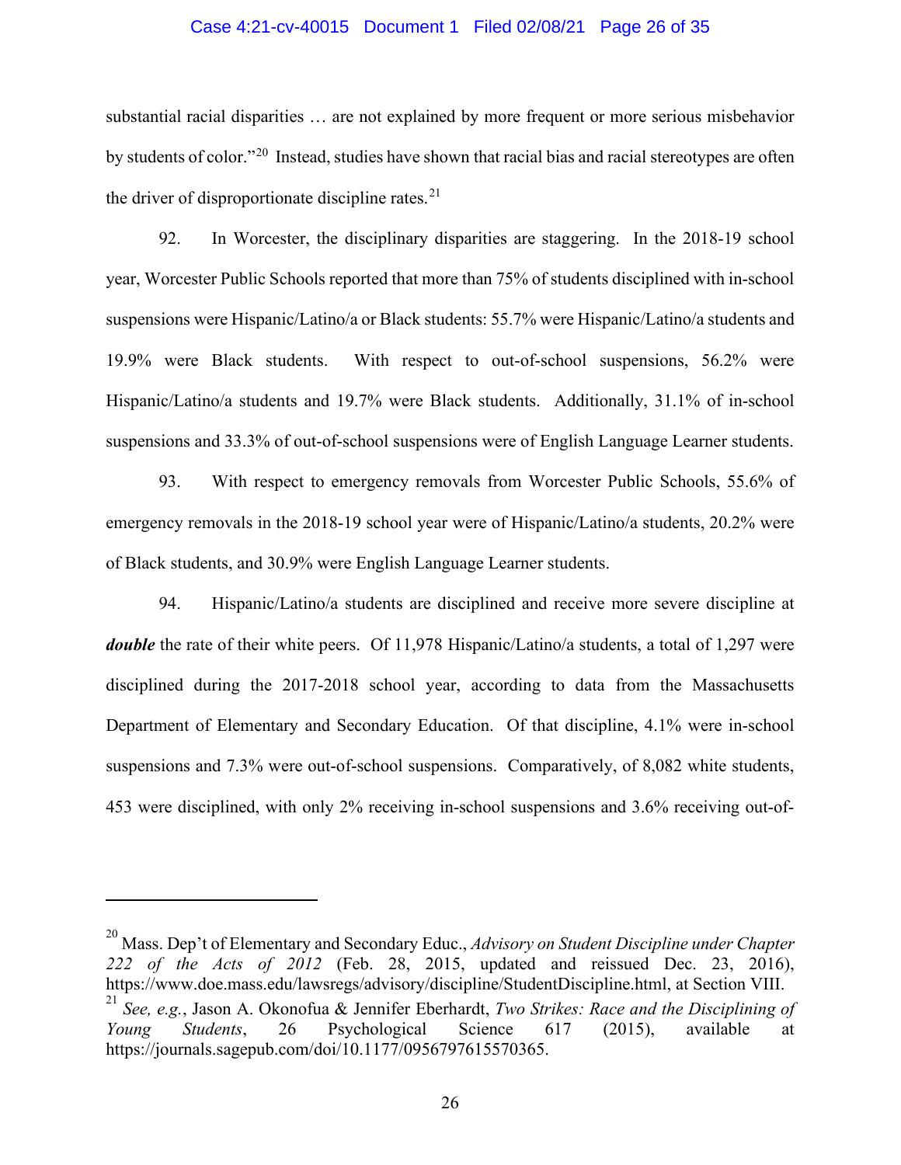#### Case 4:21-cv-40015 Document 1 Filed 02/08/21 Page 26 of 35

substantial racial disparities … are not explained by more frequent or more serious misbehavior by students of color."[20](#page-31-0) Instead, studies have shown that racial bias and racial stereotypes are often the driver of disproportionate discipline rates. $21$ 

92. In Worcester, the disciplinary disparities are staggering. In the 2018-19 school year, Worcester Public Schools reported that more than 75% of students disciplined with in-school suspensions were Hispanic/Latino/a or Black students: 55.7% were Hispanic/Latino/a students and 19.9% were Black students. With respect to out-of-school suspensions, 56.2% were Hispanic/Latino/a students and 19.7% were Black students. Additionally, 31.1% of in-school suspensions and 33.3% of out-of-school suspensions were of English Language Learner students.

93. With respect to emergency removals from Worcester Public Schools, 55.6% of emergency removals in the 2018-19 school year were of Hispanic/Latino/a students, 20.2% were of Black students, and 30.9% were English Language Learner students.

94. Hispanic/Latino/a students are disciplined and receive more severe discipline at *double* the rate of their white peers. Of 11,978 Hispanic/Latino/a students, a total of 1,297 were disciplined during the 2017-2018 school year, according to data from the Massachusetts Department of Elementary and Secondary Education. Of that discipline, 4.1% were in-school suspensions and 7.3% were out-of-school suspensions. Comparatively, of 8,082 white students, 453 were disciplined, with only 2% receiving in-school suspensions and 3.6% receiving out-of-

<sup>20</sup> Mass. Dep't of Elementary and Secondary Educ., *Advisory on Student Discipline under Chapter 222 of the Acts of 2012* (Feb. 28, 2015, updated and reissued Dec. 23, 2016), https://www.doe.mass.edu/lawsregs/advisory/discipline/StudentDiscipline.html, at Section VIII. <sup>21</sup> *See, e.g.*, Jason A. Okonofua & Jennifer Eberhardt, *Two Strikes: Race and the Disciplining of Young Students*, 26 Psychological Science 617 (2015), available at

https://journals.sagepub.com/doi/10.1177/0956797615570365.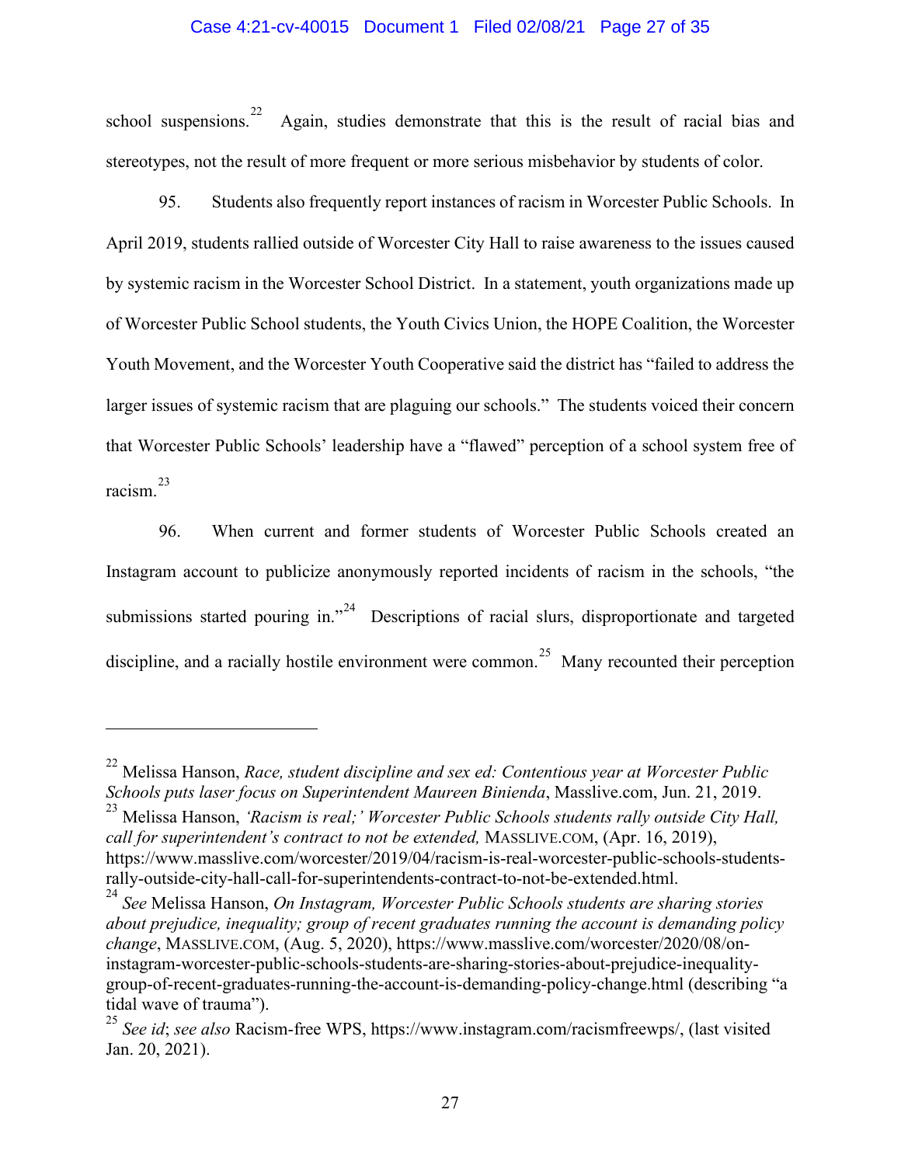## Case 4:21-cv-40015 Document 1 Filed 02/08/21 Page 27 of 35

school suspensions.<sup>[22](#page-31-0)</sup> Again, studies demonstrate that this is the result of racial bias and stereotypes, not the result of more frequent or more serious misbehavior by students of color.

95. Students also frequently report instances of racism in Worcester Public Schools. In April 2019, students rallied outside of Worcester City Hall to raise awareness to the issues caused by systemic racism in the Worcester School District. In a statement, youth organizations made up of Worcester Public School students, the Youth Civics Union, the HOPE Coalition, the Worcester Youth Movement, and the Worcester Youth Cooperative said the district has "failed to address the larger issues of systemic racism that are plaguing our schools." The students voiced their concern that Worcester Public Schools' leadership have a "flawed" perception of a school system free of racism.[23](#page-31-0)

96. When current and former students of Worcester Public Schools created an Instagram account to publicize anonymously reported incidents of racism in the schools, "the submissions started pouring in."<sup>24</sup> Descriptions of racial slurs, disproportionate and targeted discipline, and a racially hostile environment were common.<sup>25</sup> Many recounted their perception

<sup>22</sup> Melissa Hanson, *Race, student discipline and sex ed: Contentious year at Worcester Public Schools puts laser focus on Superintendent Maureen Binienda*, Masslive.com, Jun. 21, 2019.

<sup>23</sup> Melissa Hanson, *'Racism is real;' Worcester Public Schools students rally outside City Hall, call for superintendent's contract to not be extended,* MASSLIVE.COM, (Apr. 16, 2019), https://www.masslive.com/worcester/2019/04/racism-is-real-worcester-public-schools-studentsrally-outside-city-hall-call-for-superintendents-contract-to-not-be-extended.html.

<sup>24</sup> *See* Melissa Hanson, *On Instagram, Worcester Public Schools students are sharing stories about prejudice, inequality; group of recent graduates running the account is demanding policy change*, MASSLIVE.COM, (Aug. 5, 2020), https://www.masslive.com/worcester/2020/08/oninstagram-worcester-public-schools-students-are-sharing-stories-about-prejudice-inequalitygroup-of-recent-graduates-running-the-account-is-demanding-policy-change.html (describing "a tidal wave of trauma").

<sup>25</sup> *See id*; *see also* Racism-free WPS, https://www.instagram.com/racismfreewps/, (last visited Jan. 20, 2021).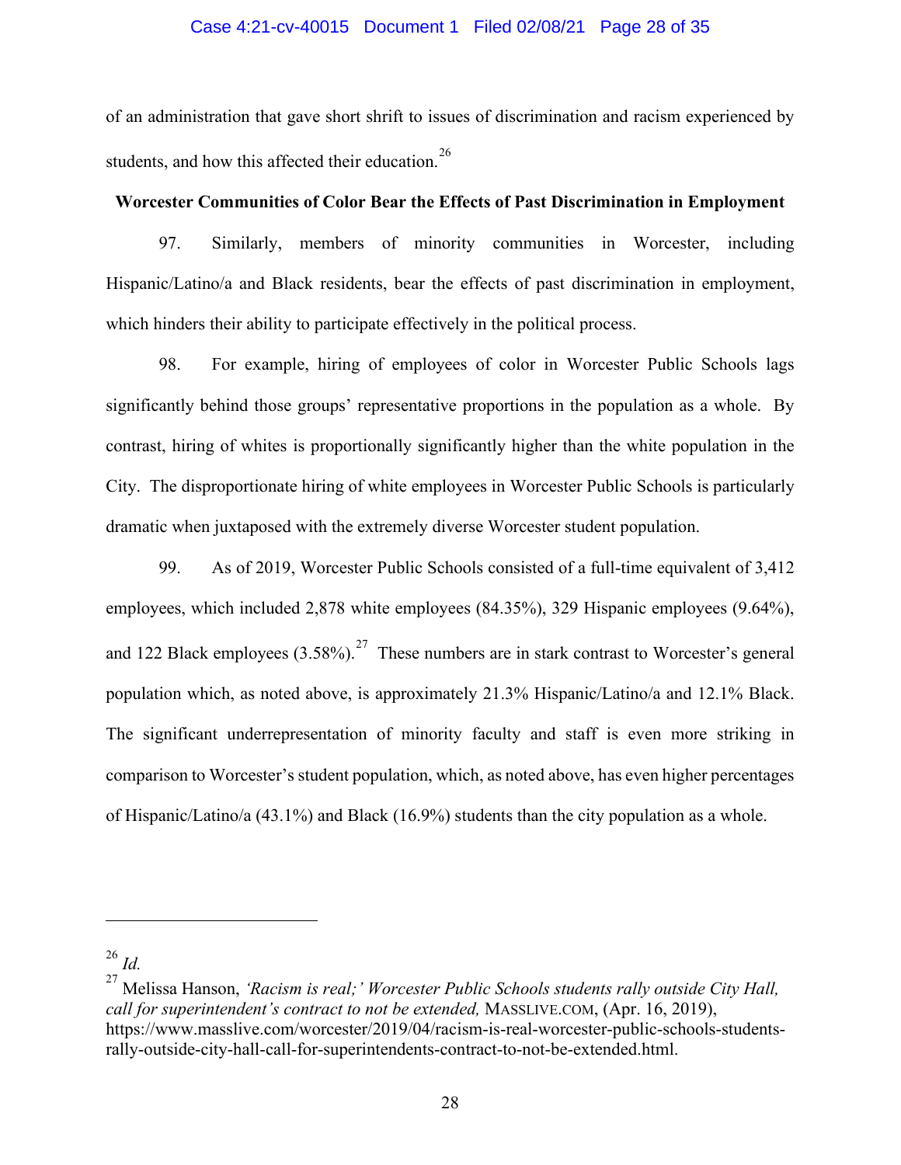#### Case 4:21-cv-40015 Document 1 Filed 02/08/21 Page 28 of 35

of an administration that gave short shrift to issues of discrimination and racism experienced by students, and how this affected their education.<sup>[26](#page-31-0)</sup>

## **Worcester Communities of Color Bear the Effects of Past Discrimination in Employment**

97. Similarly, members of minority communities in Worcester, including Hispanic/Latino/a and Black residents, bear the effects of past discrimination in employment, which hinders their ability to participate effectively in the political process.

98. For example, hiring of employees of color in Worcester Public Schools lags significantly behind those groups' representative proportions in the population as a whole. By contrast, hiring of whites is proportionally significantly higher than the white population in the City. The disproportionate hiring of white employees in Worcester Public Schools is particularly dramatic when juxtaposed with the extremely diverse Worcester student population.

99. As of 2019, Worcester Public Schools consisted of a full-time equivalent of 3,412 employees, which included 2,878 white employees (84.35%), 329 Hispanic employees (9.64%), and 122 Black employees  $(3.58\%)$ .<sup>[27](#page-31-0)</sup> These numbers are in stark contrast to Worcester's general population which, as noted above, is approximately 21.3% Hispanic/Latino/a and 12.1% Black. The significant underrepresentation of minority faculty and staff is even more striking in comparison to Worcester's student population, which, as noted above, has even higher percentages of Hispanic/Latino/a (43.1%) and Black (16.9%) students than the city population as a whole.

<sup>26</sup> *Id.*

<sup>27</sup> Melissa Hanson, *'Racism is real;' Worcester Public Schools students rally outside City Hall, call for superintendent's contract to not be extended,* MASSLIVE.COM, (Apr. 16, 2019), https://www.masslive.com/worcester/2019/04/racism-is-real-worcester-public-schools-studentsrally-outside-city-hall-call-for-superintendents-contract-to-not-be-extended.html.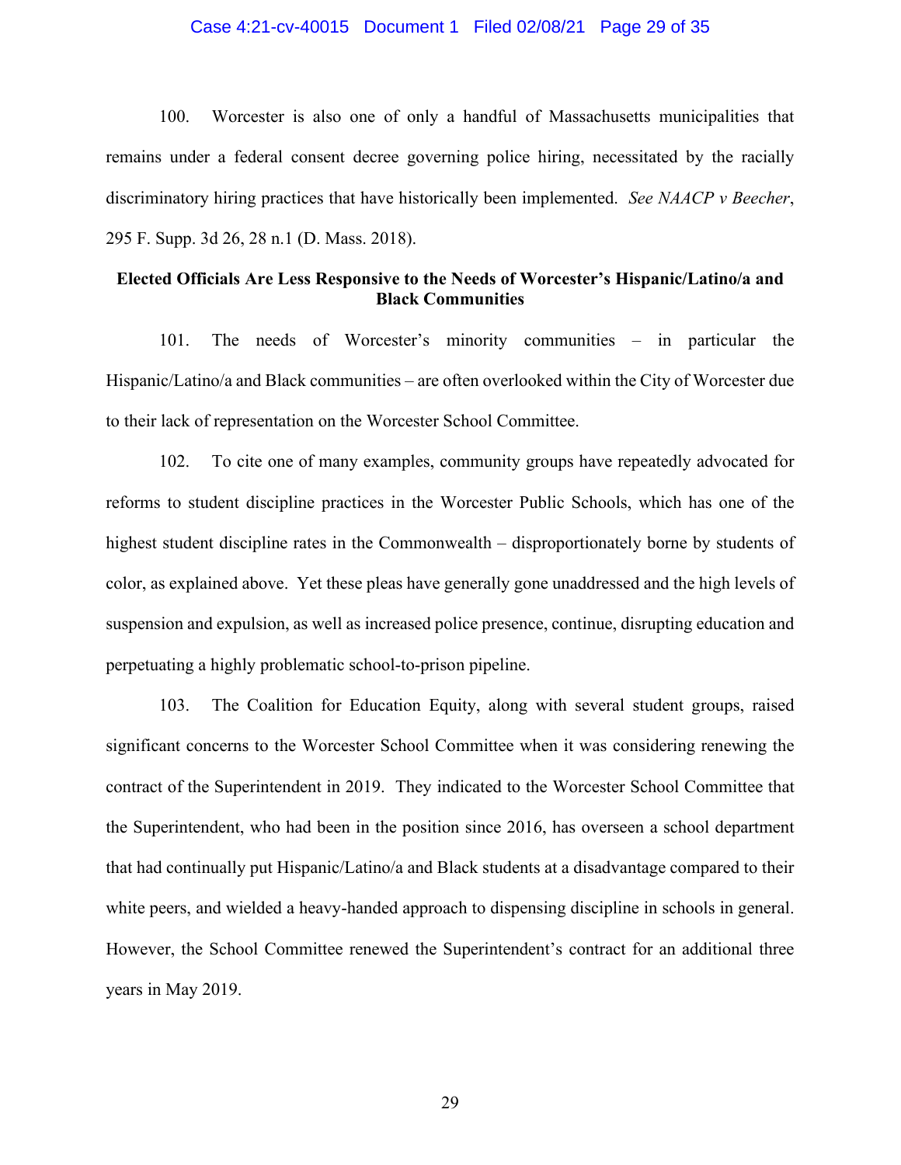#### Case 4:21-cv-40015 Document 1 Filed 02/08/21 Page 29 of 35

100. Worcester is also one of only a handful of Massachusetts municipalities that remains under a federal consent decree governing police hiring, necessitated by the racially discriminatory hiring practices that have historically been implemented. *See NAACP v Beecher*, 295 F. Supp. 3d 26, 28 n.1 (D. Mass. 2018).

# **Elected Officials Are Less Responsive to the Needs of Worcester's Hispanic/Latino/a and Black Communities**

101. The needs of Worcester's minority communities – in particular the Hispanic/Latino/a and Black communities – are often overlooked within the City of Worcester due to their lack of representation on the Worcester School Committee.

102. To cite one of many examples, community groups have repeatedly advocated for reforms to student discipline practices in the Worcester Public Schools, which has one of the highest student discipline rates in the Commonwealth – disproportionately borne by students of color, as explained above. Yet these pleas have generally gone unaddressed and the high levels of suspension and expulsion, as well as increased police presence, continue, disrupting education and perpetuating a highly problematic school-to-prison pipeline.

103. The Coalition for Education Equity, along with several student groups, raised significant concerns to the Worcester School Committee when it was considering renewing the contract of the Superintendent in 2019. They indicated to the Worcester School Committee that the Superintendent, who had been in the position since 2016, has overseen a school department that had continually put Hispanic/Latino/a and Black students at a disadvantage compared to their white peers, and wielded a heavy-handed approach to dispensing discipline in schools in general. However, the School Committee renewed the Superintendent's contract for an additional three years in May 2019.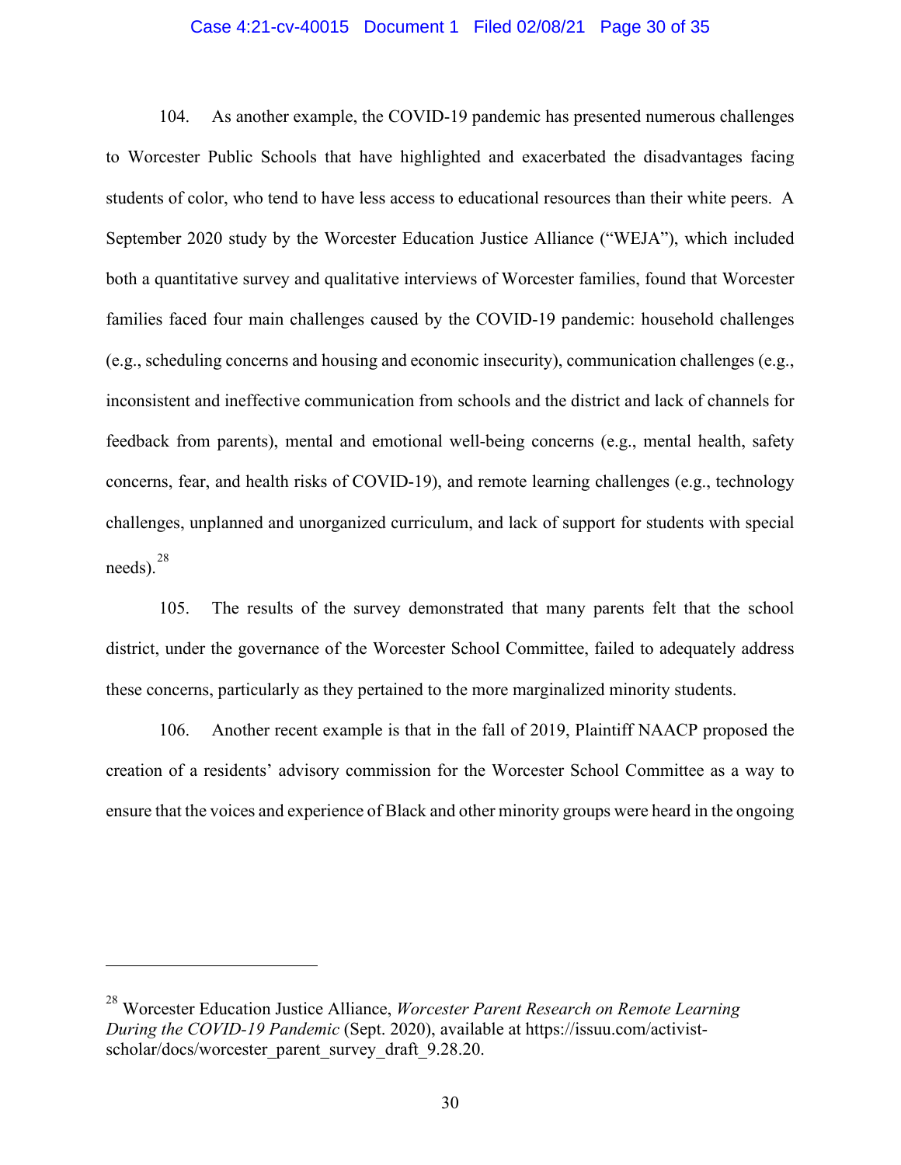#### Case 4:21-cv-40015 Document 1 Filed 02/08/21 Page 30 of 35

104. As another example, the COVID-19 pandemic has presented numerous challenges to Worcester Public Schools that have highlighted and exacerbated the disadvantages facing students of color, who tend to have less access to educational resources than their white peers. A September 2020 study by the Worcester Education Justice Alliance ("WEJA"), which included both a quantitative survey and qualitative interviews of Worcester families, found that Worcester families faced four main challenges caused by the COVID-19 pandemic: household challenges (e.g., scheduling concerns and housing and economic insecurity), communication challenges (e.g., inconsistent and ineffective communication from schools and the district and lack of channels for feedback from parents), mental and emotional well-being concerns (e.g., mental health, safety concerns, fear, and health risks of COVID-19), and remote learning challenges (e.g., technology challenges, unplanned and unorganized curriculum, and lack of support for students with special  $needs$ ).  $28$ 

105. The results of the survey demonstrated that many parents felt that the school district, under the governance of the Worcester School Committee, failed to adequately address these concerns, particularly as they pertained to the more marginalized minority students.

106. Another recent example is that in the fall of 2019, Plaintiff NAACP proposed the creation of a residents' advisory commission for the Worcester School Committee as a way to ensure that the voices and experience of Black and other minority groups were heard in the ongoing

<sup>28</sup> Worcester Education Justice Alliance, *Worcester Parent Research on Remote Learning During the COVID-19 Pandemic* (Sept. 2020), available at https://issuu.com/activistscholar/docs/worcester\_parent\_survey\_draft\_9.28.20.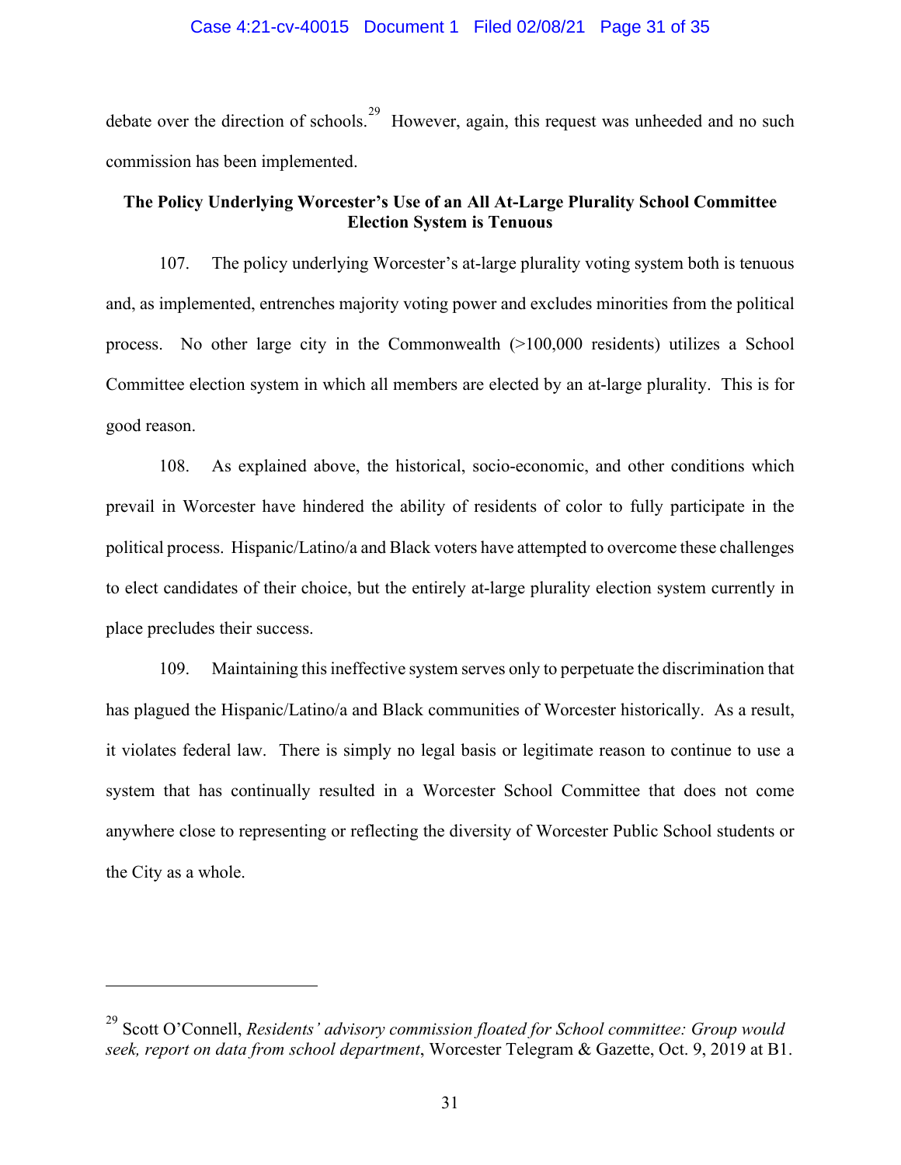debate over the direction of schools.<sup>29</sup> However, again, this request was unheeded and no such commission has been implemented.

# **The Policy Underlying Worcester's Use of an All At-Large Plurality School Committee Election System is Tenuous**

107. The policy underlying Worcester's at-large plurality voting system both is tenuous and, as implemented, entrenches majority voting power and excludes minorities from the political process. No other large city in the Commonwealth (>100,000 residents) utilizes a School Committee election system in which all members are elected by an at-large plurality. This is for good reason.

108. As explained above, the historical, socio-economic, and other conditions which prevail in Worcester have hindered the ability of residents of color to fully participate in the political process. Hispanic/Latino/a and Black voters have attempted to overcome these challenges to elect candidates of their choice, but the entirely at-large plurality election system currently in place precludes their success.

109. Maintaining this ineffective system serves only to perpetuate the discrimination that has plagued the Hispanic/Latino/a and Black communities of Worcester historically. As a result, it violates federal law. There is simply no legal basis or legitimate reason to continue to use a system that has continually resulted in a Worcester School Committee that does not come anywhere close to representing or reflecting the diversity of Worcester Public School students or the City as a whole.

<sup>29</sup> Scott O'Connell, *Residents' advisory commission floated for School committee: Group would seek, report on data from school department*, Worcester Telegram & Gazette, Oct. 9, 2019 at B1.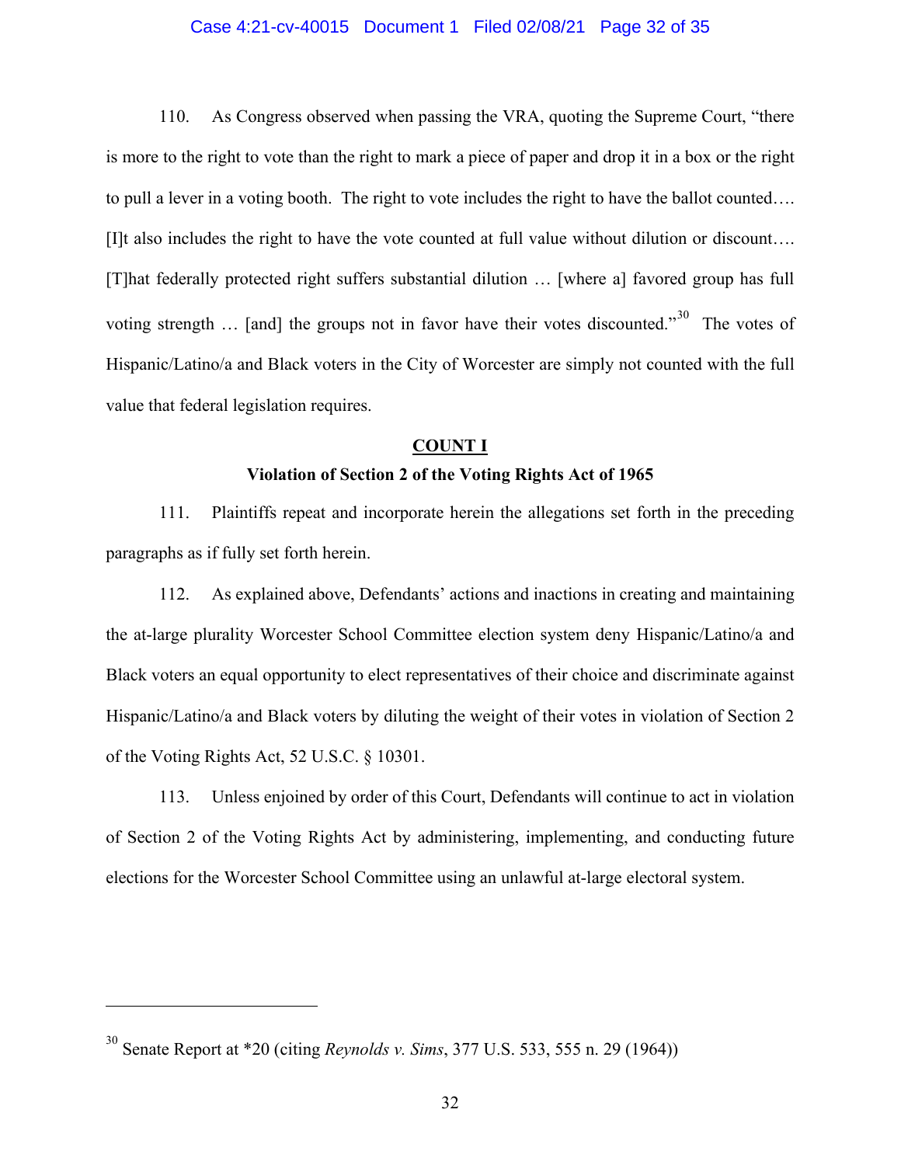## Case 4:21-cv-40015 Document 1 Filed 02/08/21 Page 32 of 35

110. As Congress observed when passing the VRA, quoting the Supreme Court, "there is more to the right to vote than the right to mark a piece of paper and drop it in a box or the right to pull a lever in a voting booth. The right to vote includes the right to have the ballot counted…. [I]t also includes the right to have the vote counted at full value without dilution or discount…. [T]hat federally protected right suffers substantial dilution … [where a] favored group has full voting strength ... [and] the groups not in favor have their votes discounted."<sup>[30](#page-31-0)</sup> The votes of Hispanic/Latino/a and Black voters in the City of Worcester are simply not counted with the full value that federal legislation requires.

# **COUNT I**

#### **Violation of Section 2 of the Voting Rights Act of 1965**

111. Plaintiffs repeat and incorporate herein the allegations set forth in the preceding paragraphs as if fully set forth herein.

112. As explained above, Defendants' actions and inactions in creating and maintaining the at-large plurality Worcester School Committee election system deny Hispanic/Latino/a and Black voters an equal opportunity to elect representatives of their choice and discriminate against Hispanic/Latino/a and Black voters by diluting the weight of their votes in violation of Section 2 of the Voting Rights Act, 52 U.S.C. § 10301.

113. Unless enjoined by order of this Court, Defendants will continue to act in violation of Section 2 of the Voting Rights Act by administering, implementing, and conducting future elections for the Worcester School Committee using an unlawful at-large electoral system.

<span id="page-31-0"></span><sup>30</sup> Senate Report at \*20 (citing *Reynolds v. Sims*, 377 U.S. 533, 555 n. 29 (1964))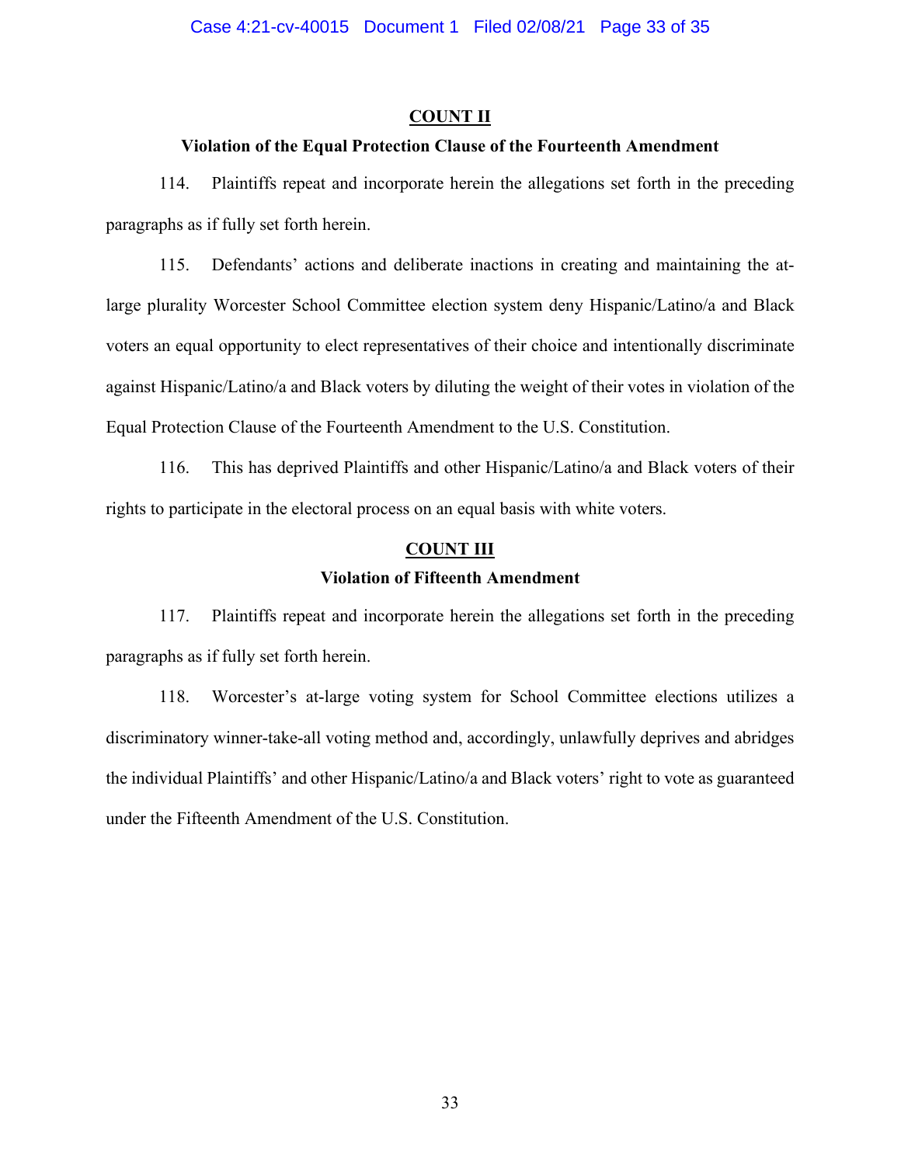## **COUNT II**

# **Violation of the Equal Protection Clause of the Fourteenth Amendment**

114. Plaintiffs repeat and incorporate herein the allegations set forth in the preceding paragraphs as if fully set forth herein.

115. Defendants' actions and deliberate inactions in creating and maintaining the atlarge plurality Worcester School Committee election system deny Hispanic/Latino/a and Black voters an equal opportunity to elect representatives of their choice and intentionally discriminate against Hispanic/Latino/a and Black voters by diluting the weight of their votes in violation of the Equal Protection Clause of the Fourteenth Amendment to the U.S. Constitution.

116. This has deprived Plaintiffs and other Hispanic/Latino/a and Black voters of their rights to participate in the electoral process on an equal basis with white voters.

# **COUNT III**

# **Violation of Fifteenth Amendment**

117. Plaintiffs repeat and incorporate herein the allegations set forth in the preceding paragraphs as if fully set forth herein.

118. Worcester's at-large voting system for School Committee elections utilizes a discriminatory winner-take-all voting method and, accordingly, unlawfully deprives and abridges the individual Plaintiffs' and other Hispanic/Latino/a and Black voters' right to vote as guaranteed under the Fifteenth Amendment of the U.S. Constitution.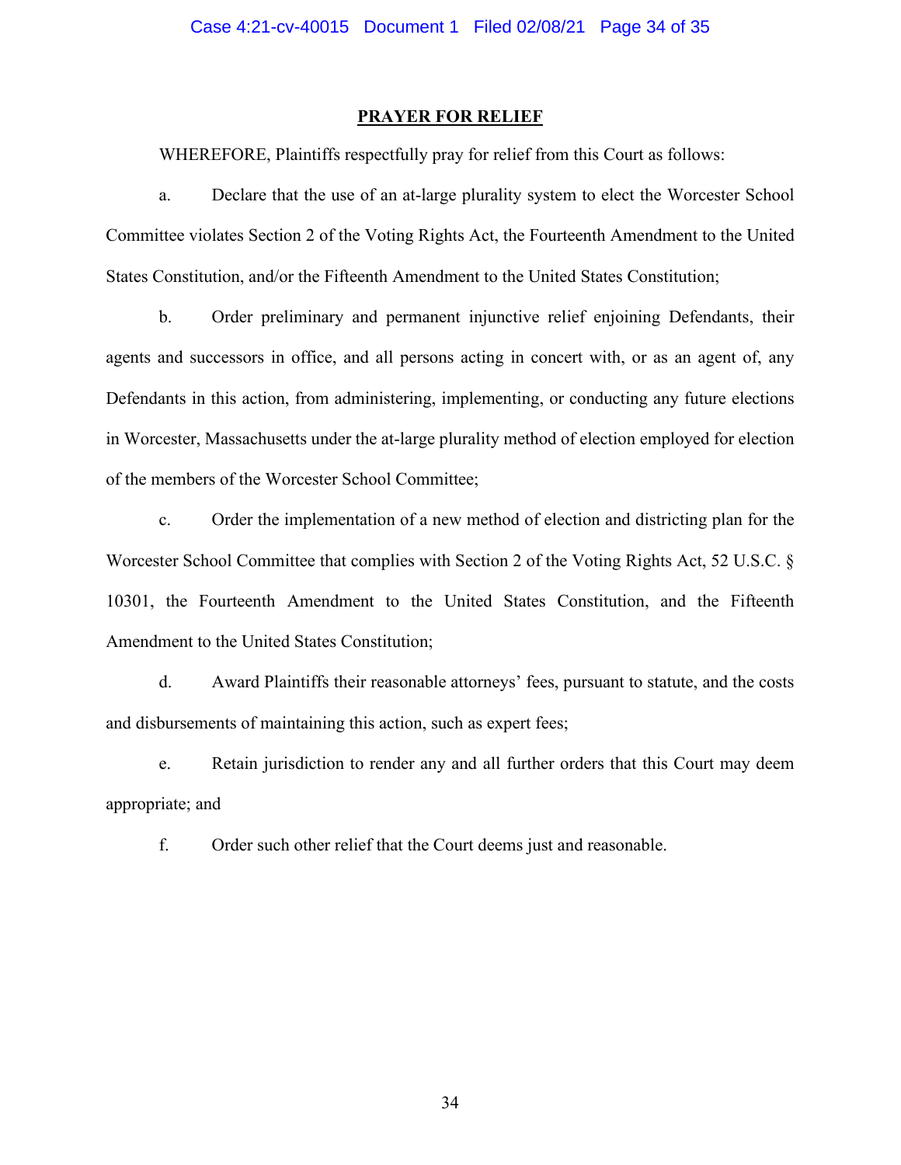#### **PRAYER FOR RELIEF**

WHEREFORE, Plaintiffs respectfully pray for relief from this Court as follows:

a. Declare that the use of an at-large plurality system to elect the Worcester School Committee violates Section 2 of the Voting Rights Act, the Fourteenth Amendment to the United States Constitution, and/or the Fifteenth Amendment to the United States Constitution;

b. Order preliminary and permanent injunctive relief enjoining Defendants, their agents and successors in office, and all persons acting in concert with, or as an agent of, any Defendants in this action, from administering, implementing, or conducting any future elections in Worcester, Massachusetts under the at-large plurality method of election employed for election of the members of the Worcester School Committee;

c. Order the implementation of a new method of election and districting plan for the Worcester School Committee that complies with Section 2 of the Voting Rights Act, 52 U.S.C. § 10301, the Fourteenth Amendment to the United States Constitution, and the Fifteenth Amendment to the United States Constitution;

d. Award Plaintiffs their reasonable attorneys' fees, pursuant to statute, and the costs and disbursements of maintaining this action, such as expert fees;

e. Retain jurisdiction to render any and all further orders that this Court may deem appropriate; and

f. Order such other relief that the Court deems just and reasonable.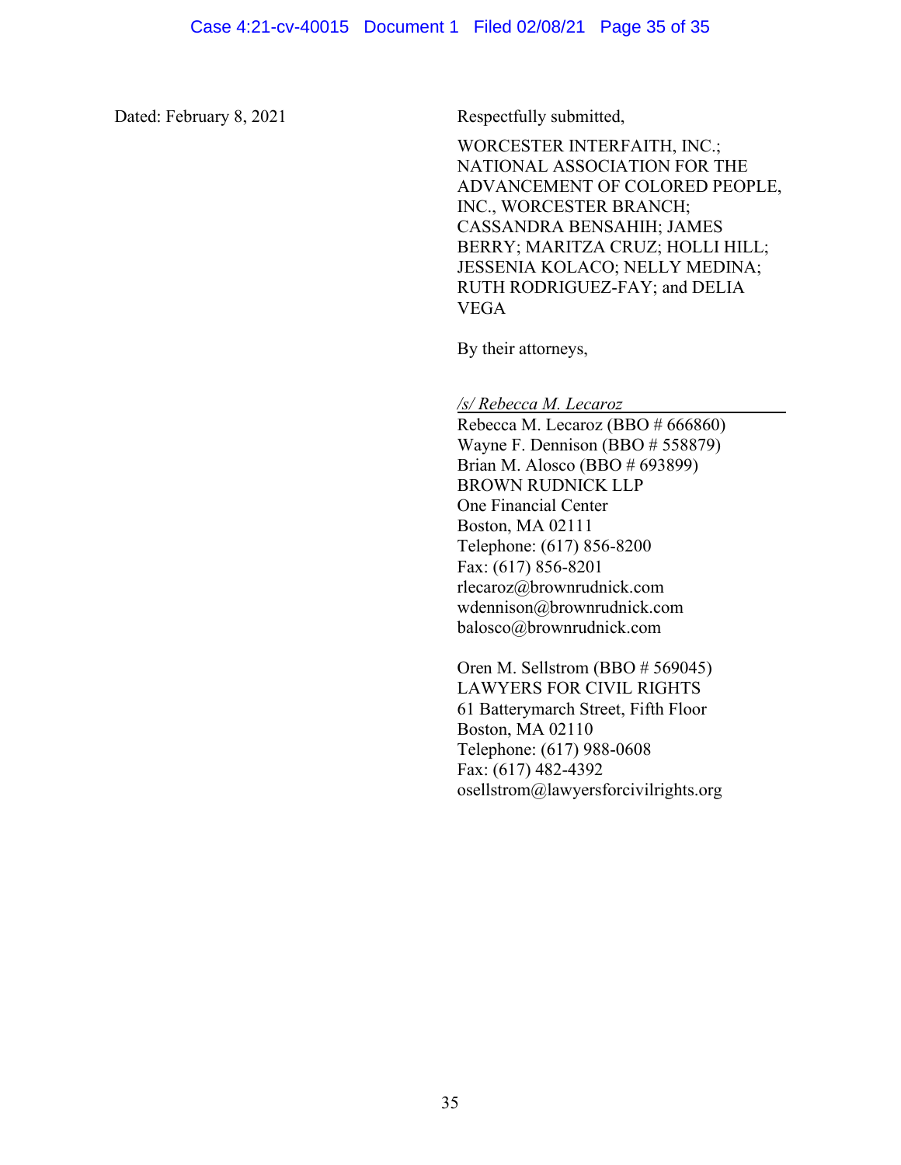Dated: February 8, 2021 Respectfully submitted,

WORCESTER INTERFAITH, INC.; NATIONAL ASSOCIATION FOR THE ADVANCEMENT OF COLORED PEOPLE, INC., WORCESTER BRANCH; CASSANDRA BENSAHIH; JAMES BERRY; MARITZA CRUZ; HOLLI HILL; JESSENIA KOLACO; NELLY MEDINA; RUTH RODRIGUEZ-FAY; and DELIA VEGA

By their attorneys,

*/s/ Rebecca M. Lecaroz* \_\_\_\_\_\_\_\_\_\_\_\_\_\_\_\_\_\_

Rebecca M. Lecaroz (BBO # 666860) Wayne F. Dennison (BBO # 558879) Brian M. Alosco (BBO # 693899) BROWN RUDNICK LLP One Financial Center Boston, MA 02111 Telephone: (617) 856-8200 Fax: (617) 856-8201 rlecaroz@brownrudnick.com wdennison@brownrudnick.com balosco@brownrudnick.com

Oren M. Sellstrom (BBO # 569045) LAWYERS FOR CIVIL RIGHTS 61 Batterymarch Street, Fifth Floor Boston, MA 02110 Telephone: (617) 988-0608 Fax: (617) 482-4392 osellstrom@lawyersforcivilrights.org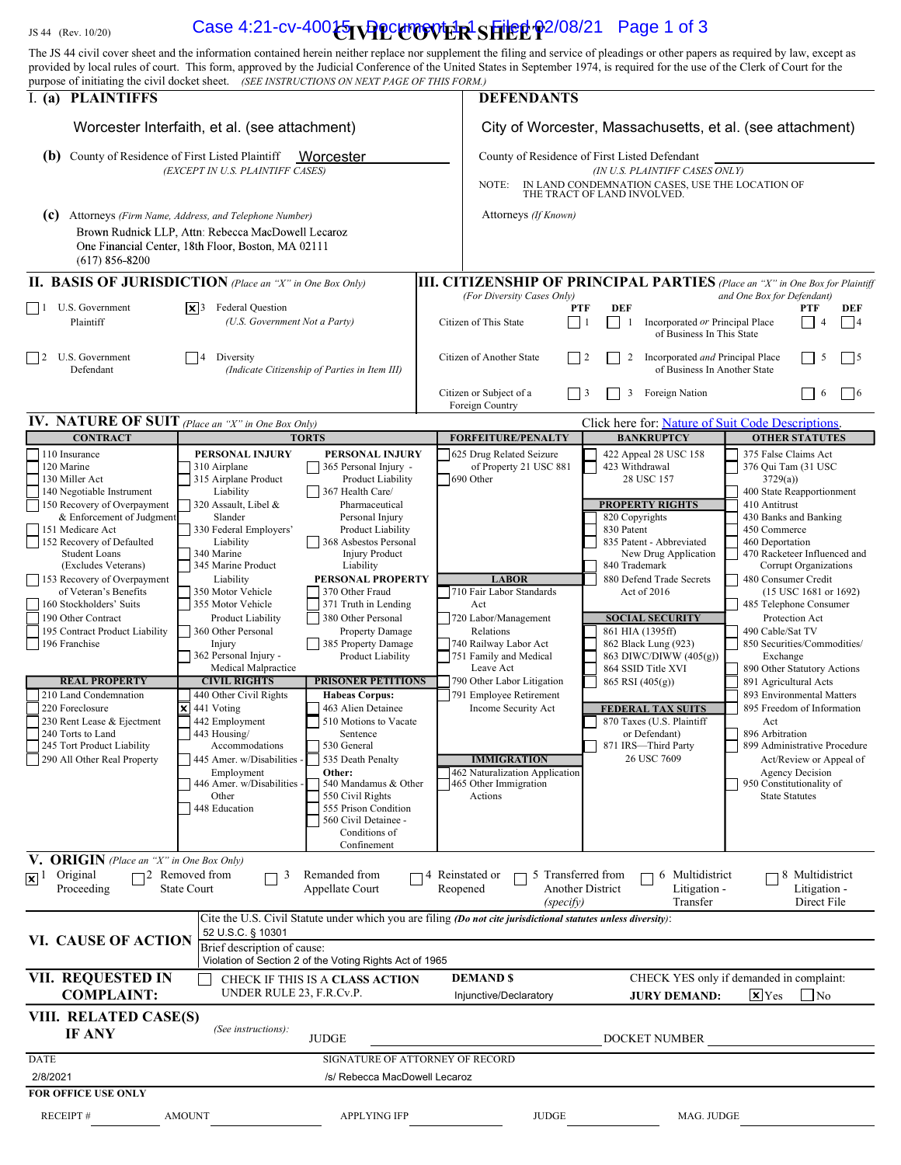# $\frac{1}{15}$   $\frac{1}{44}$  (Rev. 10/20) Case 4:21-cv-400 $\frac{1}{2}$   $\frac{1}{2}$   $\frac{1}{2}$   $\frac{1}{2}$   $\frac{1}{2}$   $\frac{1}{2}$   $\frac{1}{2}$   $\frac{1}{2}$   $\frac{1}{2}$   $\frac{1}{2}$   $\frac{1}{2}$   $\frac{1}{2}$   $\frac{1}{2}$   $\frac{1}{2}$   $\frac{1}{2}$   $\frac{1}{2}$   $\frac{1}{2}$

| The JS 44 civil cover sheet and the information contained herein neither replace nor supplement the filing and service of pleadings or other papers as required by law, except as<br>provided by local rules of court. This form, approved by the Judicial Conference of the United States in September 1974, is required for the use of the Clerk of Court for the                                                                                                                                                                                                                                       |                                                                                                                                                                                                                                                                                                                                                                                                                                                                                                                                                                     |                                                                                                                                                                                                                                                                                                                                                                                                                                                                                                                                                                                                                                                                                    |                              |                                                                                                                                                                                                                                                                                                                                                                                                                                  |                                                                                              |                                                                                                                                                                                                                                                                                                                                                                                                                                                               |                                                                                                                                                                                                                                                                                                                                                                                                                                                                                                                                                                                                                                                                                                 |  |
|-----------------------------------------------------------------------------------------------------------------------------------------------------------------------------------------------------------------------------------------------------------------------------------------------------------------------------------------------------------------------------------------------------------------------------------------------------------------------------------------------------------------------------------------------------------------------------------------------------------|---------------------------------------------------------------------------------------------------------------------------------------------------------------------------------------------------------------------------------------------------------------------------------------------------------------------------------------------------------------------------------------------------------------------------------------------------------------------------------------------------------------------------------------------------------------------|------------------------------------------------------------------------------------------------------------------------------------------------------------------------------------------------------------------------------------------------------------------------------------------------------------------------------------------------------------------------------------------------------------------------------------------------------------------------------------------------------------------------------------------------------------------------------------------------------------------------------------------------------------------------------------|------------------------------|----------------------------------------------------------------------------------------------------------------------------------------------------------------------------------------------------------------------------------------------------------------------------------------------------------------------------------------------------------------------------------------------------------------------------------|----------------------------------------------------------------------------------------------|---------------------------------------------------------------------------------------------------------------------------------------------------------------------------------------------------------------------------------------------------------------------------------------------------------------------------------------------------------------------------------------------------------------------------------------------------------------|-------------------------------------------------------------------------------------------------------------------------------------------------------------------------------------------------------------------------------------------------------------------------------------------------------------------------------------------------------------------------------------------------------------------------------------------------------------------------------------------------------------------------------------------------------------------------------------------------------------------------------------------------------------------------------------------------|--|
| purpose of initiating the civil docket sheet. (SEE INSTRUCTIONS ON NEXT PAGE OF THIS FORM.)<br>I. (a) PLAINTIFFS<br>Worcester Interfaith, et al. (see attachment)<br>(b)<br>County of Residence of First Listed Plaintiff<br>Worcester<br>(EXCEPT IN U.S. PLAINTIFF CASES)                                                                                                                                                                                                                                                                                                                                |                                                                                                                                                                                                                                                                                                                                                                                                                                                                                                                                                                     |                                                                                                                                                                                                                                                                                                                                                                                                                                                                                                                                                                                                                                                                                    |                              | <b>DEFENDANTS</b>                                                                                                                                                                                                                                                                                                                                                                                                                |                                                                                              |                                                                                                                                                                                                                                                                                                                                                                                                                                                               |                                                                                                                                                                                                                                                                                                                                                                                                                                                                                                                                                                                                                                                                                                 |  |
|                                                                                                                                                                                                                                                                                                                                                                                                                                                                                                                                                                                                           |                                                                                                                                                                                                                                                                                                                                                                                                                                                                                                                                                                     |                                                                                                                                                                                                                                                                                                                                                                                                                                                                                                                                                                                                                                                                                    |                              | City of Worcester, Massachusetts, et al. (see attachment)<br>County of Residence of First Listed Defendant<br>(IN U.S. PLAINTIFF CASES ONLY)                                                                                                                                                                                                                                                                                     |                                                                                              |                                                                                                                                                                                                                                                                                                                                                                                                                                                               |                                                                                                                                                                                                                                                                                                                                                                                                                                                                                                                                                                                                                                                                                                 |  |
|                                                                                                                                                                                                                                                                                                                                                                                                                                                                                                                                                                                                           |                                                                                                                                                                                                                                                                                                                                                                                                                                                                                                                                                                     |                                                                                                                                                                                                                                                                                                                                                                                                                                                                                                                                                                                                                                                                                    |                              |                                                                                                                                                                                                                                                                                                                                                                                                                                  |                                                                                              |                                                                                                                                                                                                                                                                                                                                                                                                                                                               |                                                                                                                                                                                                                                                                                                                                                                                                                                                                                                                                                                                                                                                                                                 |  |
| (c)<br>$(617)$ 856-8200                                                                                                                                                                                                                                                                                                                                                                                                                                                                                                                                                                                   | Attorneys (Firm Name, Address, and Telephone Number)<br>Brown Rudnick LLP, Attn: Rebecca MacDowell Lecaroz<br>One Financial Center, 18th Floor, Boston, MA 02111                                                                                                                                                                                                                                                                                                                                                                                                    |                                                                                                                                                                                                                                                                                                                                                                                                                                                                                                                                                                                                                                                                                    |                              | Attorneys (If Known)                                                                                                                                                                                                                                                                                                                                                                                                             |                                                                                              |                                                                                                                                                                                                                                                                                                                                                                                                                                                               |                                                                                                                                                                                                                                                                                                                                                                                                                                                                                                                                                                                                                                                                                                 |  |
| <b>II. BASIS OF JURISDICTION</b> (Place an "X" in One Box Only)                                                                                                                                                                                                                                                                                                                                                                                                                                                                                                                                           |                                                                                                                                                                                                                                                                                                                                                                                                                                                                                                                                                                     |                                                                                                                                                                                                                                                                                                                                                                                                                                                                                                                                                                                                                                                                                    |                              |                                                                                                                                                                                                                                                                                                                                                                                                                                  |                                                                                              |                                                                                                                                                                                                                                                                                                                                                                                                                                                               | <b>III. CITIZENSHIP OF PRINCIPAL PARTIES</b> (Place an "X" in One Box for Plaintiff                                                                                                                                                                                                                                                                                                                                                                                                                                                                                                                                                                                                             |  |
| U.S. Government<br>$\vert$ 1<br>Plaintiff                                                                                                                                                                                                                                                                                                                                                                                                                                                                                                                                                                 | $ \mathbf{X} $ 3 Federal Question<br>(U.S. Government Not a Party)                                                                                                                                                                                                                                                                                                                                                                                                                                                                                                  |                                                                                                                                                                                                                                                                                                                                                                                                                                                                                                                                                                                                                                                                                    |                              | (For Diversity Cases Only)<br>Citizen of This State                                                                                                                                                                                                                                                                                                                                                                              | <b>DEF</b><br><b>PTF</b><br>$\vert$ 1<br>-1                                                  | Incorporated or Principal Place<br>of Business In This State                                                                                                                                                                                                                                                                                                                                                                                                  | and One Box for Defendant)<br>PTF<br>DEF<br> 4                                                                                                                                                                                                                                                                                                                                                                                                                                                                                                                                                                                                                                                  |  |
| U.S. Government<br>$\vert$ 2<br>Defendant                                                                                                                                                                                                                                                                                                                                                                                                                                                                                                                                                                 | Diversity<br>4<br>(Indicate Citizenship of Parties in Item III)                                                                                                                                                                                                                                                                                                                                                                                                                                                                                                     |                                                                                                                                                                                                                                                                                                                                                                                                                                                                                                                                                                                                                                                                                    |                              | Citizen of Another State                                                                                                                                                                                                                                                                                                                                                                                                         | $\vert$   2<br>2                                                                             | Incorporated and Principal Place<br>of Business In Another State                                                                                                                                                                                                                                                                                                                                                                                              | 5<br>$\vert 5 \vert$                                                                                                                                                                                                                                                                                                                                                                                                                                                                                                                                                                                                                                                                            |  |
|                                                                                                                                                                                                                                                                                                                                                                                                                                                                                                                                                                                                           |                                                                                                                                                                                                                                                                                                                                                                                                                                                                                                                                                                     |                                                                                                                                                                                                                                                                                                                                                                                                                                                                                                                                                                                                                                                                                    |                              | Citizen or Subject of a<br>Foreign Country                                                                                                                                                                                                                                                                                                                                                                                       | 3<br>$ $   3                                                                                 | Foreign Nation                                                                                                                                                                                                                                                                                                                                                                                                                                                | 6<br> 6                                                                                                                                                                                                                                                                                                                                                                                                                                                                                                                                                                                                                                                                                         |  |
| <b>IV. NATURE OF SUIT</b> (Place an "X" in One Box Only)                                                                                                                                                                                                                                                                                                                                                                                                                                                                                                                                                  |                                                                                                                                                                                                                                                                                                                                                                                                                                                                                                                                                                     |                                                                                                                                                                                                                                                                                                                                                                                                                                                                                                                                                                                                                                                                                    |                              |                                                                                                                                                                                                                                                                                                                                                                                                                                  |                                                                                              |                                                                                                                                                                                                                                                                                                                                                                                                                                                               | Click here for: Nature of Suit Code Descriptions.                                                                                                                                                                                                                                                                                                                                                                                                                                                                                                                                                                                                                                               |  |
| <b>CONTRACT</b><br>110 Insurance<br>120 Marine<br>130 Miller Act<br>140 Negotiable Instrument<br>150 Recovery of Overpayment<br>& Enforcement of Judgment<br>151 Medicare Act<br>152 Recovery of Defaulted<br><b>Student Loans</b><br>(Excludes Veterans)<br>153 Recovery of Overpayment<br>of Veteran's Benefits<br>160 Stockholders' Suits<br>190 Other Contract<br>195 Contract Product Liability<br>196 Franchise<br><b>REAL PROPERTY</b><br>210 Land Condemnation<br>220 Foreclosure<br>230 Rent Lease & Ejectment<br>240 Torts to Land<br>245 Tort Product Liability<br>290 All Other Real Property | PERSONAL INJURY<br>310 Airplane<br>315 Airplane Product<br>Liability<br>320 Assault, Libel &<br>Slander<br>330 Federal Employers'<br>Liability<br>340 Marine<br>345 Marine Product<br>Liability<br>350 Motor Vehicle<br>355 Motor Vehicle<br>Product Liability<br>360 Other Personal<br>Injury<br>362 Personal Injury -<br>Medical Malpractice<br><b>CIVIL RIGHTS</b><br>440 Other Civil Rights<br>441 Voting<br>442 Employment<br>443 Housing/<br>Accommodations<br>445 Amer. w/Disabilities<br>Employment<br>446 Amer. w/Disabilities -<br>Other<br>448 Education | <b>TORTS</b><br>PERSONAL INJURY<br>$\vert$ 365 Personal Injury -<br>Product Liability<br>$\vert$ 367 Health Care/<br>Pharmaceutical<br>Personal Injury<br>Product Liability<br>368 Asbestos Personal<br><b>Injury Product</b><br>Liability<br>PERSONAL PROPERTY<br>370 Other Fraud<br>371 Truth in Lending<br>380 Other Personal<br><b>Property Damage</b><br>385 Property Damage<br>Product Liability<br><b>PRISONER PETITIONS</b><br><b>Habeas Corpus:</b><br>463 Alien Detainee<br>510 Motions to Vacate<br>Sentence<br>530 General<br>535 Death Penalty<br>Other:<br>540 Mandamus & Other<br>550 Civil Rights<br>555 Prison Condition<br>560 Civil Detainee -<br>Conditions of |                              | <b>FORFEITURE/PENALTY</b><br>625 Drug Related Seizure<br>of Property 21 USC 881<br>690 Other<br><b>LABOR</b><br>710 Fair Labor Standards<br>Act<br>720 Labor/Management<br>Relations<br>740 Railway Labor Act<br>751 Family and Medical<br>Leave Act<br>790 Other Labor Litigation<br>791 Employee Retirement<br>Income Security Act<br><b>IMMIGRATION</b><br>462 Naturalization Application<br>465 Other Immigration<br>Actions | 820 Copyrights<br>830 Patent<br>840 Trademark                                                | <b>BANKRUPTCY</b><br>422 Appeal 28 USC 158<br>423 Withdrawal<br>28 USC 157<br><b>PROPERTY RIGHTS</b><br>835 Patent - Abbreviated<br>New Drug Application<br>880 Defend Trade Secrets<br>Act of 2016<br><b>SOCIAL SECURITY</b><br>861 HIA (1395ff)<br>862 Black Lung (923)<br>863 DIWC/DIWW (405(g))<br>864 SSID Title XVI<br>865 RSI (405(g))<br><b>FEDERAL TAX SUITS</b><br>870 Taxes (U.S. Plaintiff<br>or Defendant)<br>871 IRS-Third Party<br>26 USC 7609 | <b>OTHER STATUTES</b><br>375 False Claims Act<br>376 Qui Tam (31 USC<br>3729(a)<br>400 State Reapportionment<br>410 Antitrust<br>430 Banks and Banking<br>450 Commerce<br>460 Deportation<br>470 Racketeer Influenced and<br>Corrupt Organizations<br>480 Consumer Credit<br>$(15$ USC 1681 or 1692)<br>485 Telephone Consumer<br>Protection Act<br>490 Cable/Sat TV<br>850 Securities/Commodities/<br>Exchange<br>890 Other Statutory Actions<br>891 Agricultural Acts<br>893 Environmental Matters<br>895 Freedom of Information<br>Act<br>896 Arbitration<br>899 Administrative Procedure<br>Act/Review or Appeal of<br>Agency Decision<br>950 Constitutionality of<br><b>State Statutes</b> |  |
| V. ORIGIN (Place an "X" in One Box Only)<br>Original<br>$\sqrt{2}$<br>Proceeding                                                                                                                                                                                                                                                                                                                                                                                                                                                                                                                          | 12 Removed from<br>3<br><b>State Court</b>                                                                                                                                                                                                                                                                                                                                                                                                                                                                                                                          | Confinement<br>Remanded from<br>Appellate Court                                                                                                                                                                                                                                                                                                                                                                                                                                                                                                                                                                                                                                    | 74 Reinstated or<br>Reopened | (specify)                                                                                                                                                                                                                                                                                                                                                                                                                        | 5 Transferred from<br>Another District                                                       | 6 Multidistrict<br>Litigation -<br>Transfer                                                                                                                                                                                                                                                                                                                                                                                                                   | 8 Multidistrict<br>Litigation -<br>Direct File                                                                                                                                                                                                                                                                                                                                                                                                                                                                                                                                                                                                                                                  |  |
| VI. CAUSE OF ACTION                                                                                                                                                                                                                                                                                                                                                                                                                                                                                                                                                                                       | 52 U.S.C. § 10301<br>Brief description of cause:                                                                                                                                                                                                                                                                                                                                                                                                                                                                                                                    | Cite the U.S. Civil Statute under which you are filing (Do not cite jurisdictional statutes unless diversity):<br>Violation of Section 2 of the Voting Rights Act of 1965                                                                                                                                                                                                                                                                                                                                                                                                                                                                                                          |                              |                                                                                                                                                                                                                                                                                                                                                                                                                                  |                                                                                              |                                                                                                                                                                                                                                                                                                                                                                                                                                                               |                                                                                                                                                                                                                                                                                                                                                                                                                                                                                                                                                                                                                                                                                                 |  |
| VII. REQUESTED IN<br><b>COMPLAINT:</b>                                                                                                                                                                                                                                                                                                                                                                                                                                                                                                                                                                    |                                                                                                                                                                                                                                                                                                                                                                                                                                                                                                                                                                     | CHECK IF THIS IS A CLASS ACTION<br>UNDER RULE 23, F.R.Cv.P.                                                                                                                                                                                                                                                                                                                                                                                                                                                                                                                                                                                                                        |                              | <b>DEMAND \$</b><br>Injunctive/Declaratory                                                                                                                                                                                                                                                                                                                                                                                       | CHECK YES only if demanded in complaint:<br>$ {\bf x} $ Yes<br><b>JURY DEMAND:</b><br>    No |                                                                                                                                                                                                                                                                                                                                                                                                                                                               |                                                                                                                                                                                                                                                                                                                                                                                                                                                                                                                                                                                                                                                                                                 |  |
| VIII. RELATED CASE(S)<br><b>IF ANY</b>                                                                                                                                                                                                                                                                                                                                                                                                                                                                                                                                                                    | (See instructions):                                                                                                                                                                                                                                                                                                                                                                                                                                                                                                                                                 | <b>JUDGE</b>                                                                                                                                                                                                                                                                                                                                                                                                                                                                                                                                                                                                                                                                       |                              |                                                                                                                                                                                                                                                                                                                                                                                                                                  |                                                                                              | DOCKET NUMBER                                                                                                                                                                                                                                                                                                                                                                                                                                                 |                                                                                                                                                                                                                                                                                                                                                                                                                                                                                                                                                                                                                                                                                                 |  |
| <b>DATE</b>                                                                                                                                                                                                                                                                                                                                                                                                                                                                                                                                                                                               |                                                                                                                                                                                                                                                                                                                                                                                                                                                                                                                                                                     | SIGNATURE OF ATTORNEY OF RECORD                                                                                                                                                                                                                                                                                                                                                                                                                                                                                                                                                                                                                                                    |                              |                                                                                                                                                                                                                                                                                                                                                                                                                                  |                                                                                              |                                                                                                                                                                                                                                                                                                                                                                                                                                                               |                                                                                                                                                                                                                                                                                                                                                                                                                                                                                                                                                                                                                                                                                                 |  |
| 2/8/2021<br>FOR OFFICE USE ONLY                                                                                                                                                                                                                                                                                                                                                                                                                                                                                                                                                                           |                                                                                                                                                                                                                                                                                                                                                                                                                                                                                                                                                                     | /s/ Rebecca MacDowell Lecaroz                                                                                                                                                                                                                                                                                                                                                                                                                                                                                                                                                                                                                                                      |                              |                                                                                                                                                                                                                                                                                                                                                                                                                                  |                                                                                              |                                                                                                                                                                                                                                                                                                                                                                                                                                                               |                                                                                                                                                                                                                                                                                                                                                                                                                                                                                                                                                                                                                                                                                                 |  |
| <b>RECEIPT#</b>                                                                                                                                                                                                                                                                                                                                                                                                                                                                                                                                                                                           | <b>AMOUNT</b>                                                                                                                                                                                                                                                                                                                                                                                                                                                                                                                                                       | <b>APPLYING IFP</b>                                                                                                                                                                                                                                                                                                                                                                                                                                                                                                                                                                                                                                                                |                              | <b>JUDGE</b>                                                                                                                                                                                                                                                                                                                                                                                                                     |                                                                                              | MAG. JUDGE                                                                                                                                                                                                                                                                                                                                                                                                                                                    |                                                                                                                                                                                                                                                                                                                                                                                                                                                                                                                                                                                                                                                                                                 |  |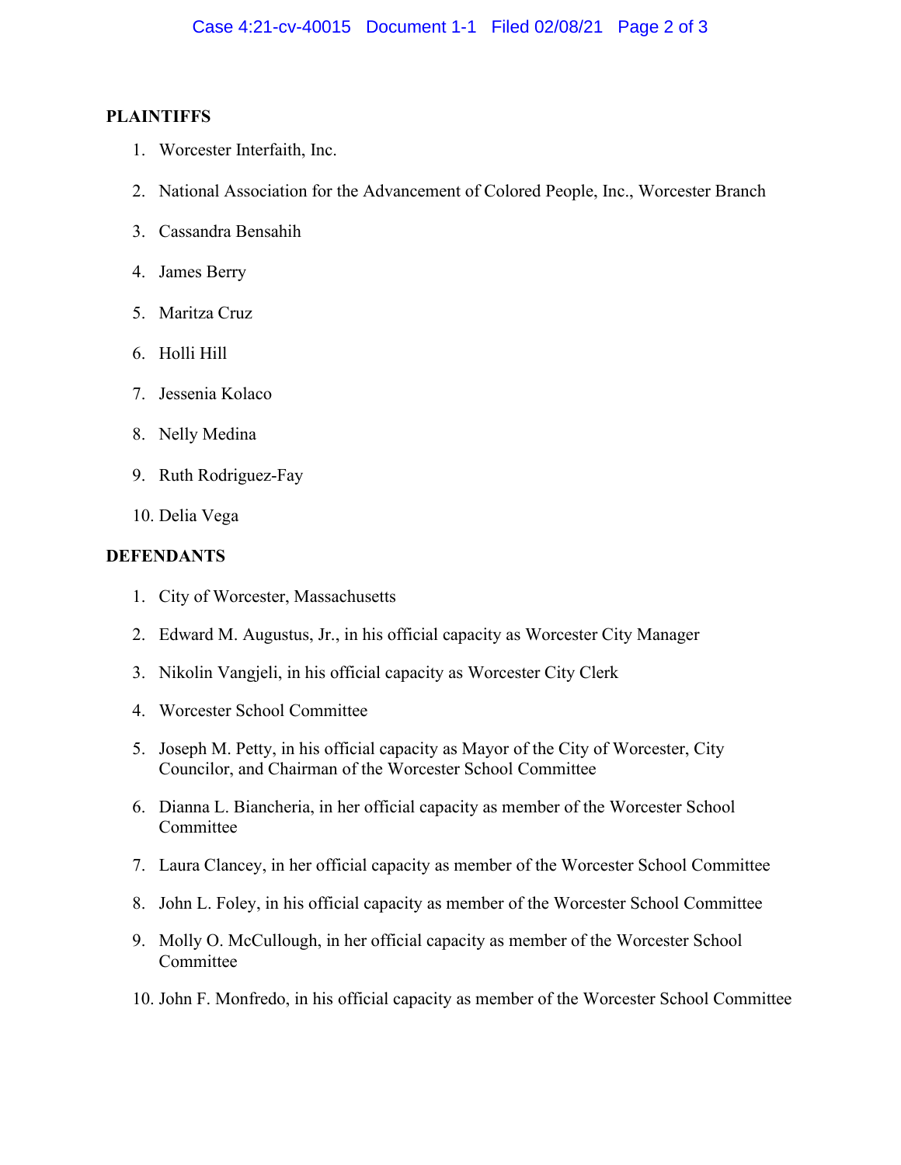# **PLAINTIFFS**

- 1. Worcester Interfaith, Inc.
- 2. National Association for the Advancement of Colored People, Inc., Worcester Branch
- 3. Cassandra Bensahih
- 4. James Berry
- 5. Maritza Cruz
- 6. Holli Hill
- 7. Jessenia Kolaco
- 8. Nelly Medina
- 9. Ruth Rodriguez-Fay
- 10. Delia Vega

# **DEFENDANTS**

- 1. City of Worcester, Massachusetts
- 2. Edward M. Augustus, Jr., in his official capacity as Worcester City Manager
- 3. Nikolin Vangjeli, in his official capacity as Worcester City Clerk
- 4. Worcester School Committee
- 5. Joseph M. Petty, in his official capacity as Mayor of the City of Worcester, City Councilor, and Chairman of the Worcester School Committee
- 6. Dianna L. Biancheria, in her official capacity as member of the Worcester School Committee
- 7. Laura Clancey, in her official capacity as member of the Worcester School Committee
- 8. John L. Foley, in his official capacity as member of the Worcester School Committee
- 9. Molly O. McCullough, in her official capacity as member of the Worcester School **Committee**
- 10. John F. Monfredo, in his official capacity as member of the Worcester School Committee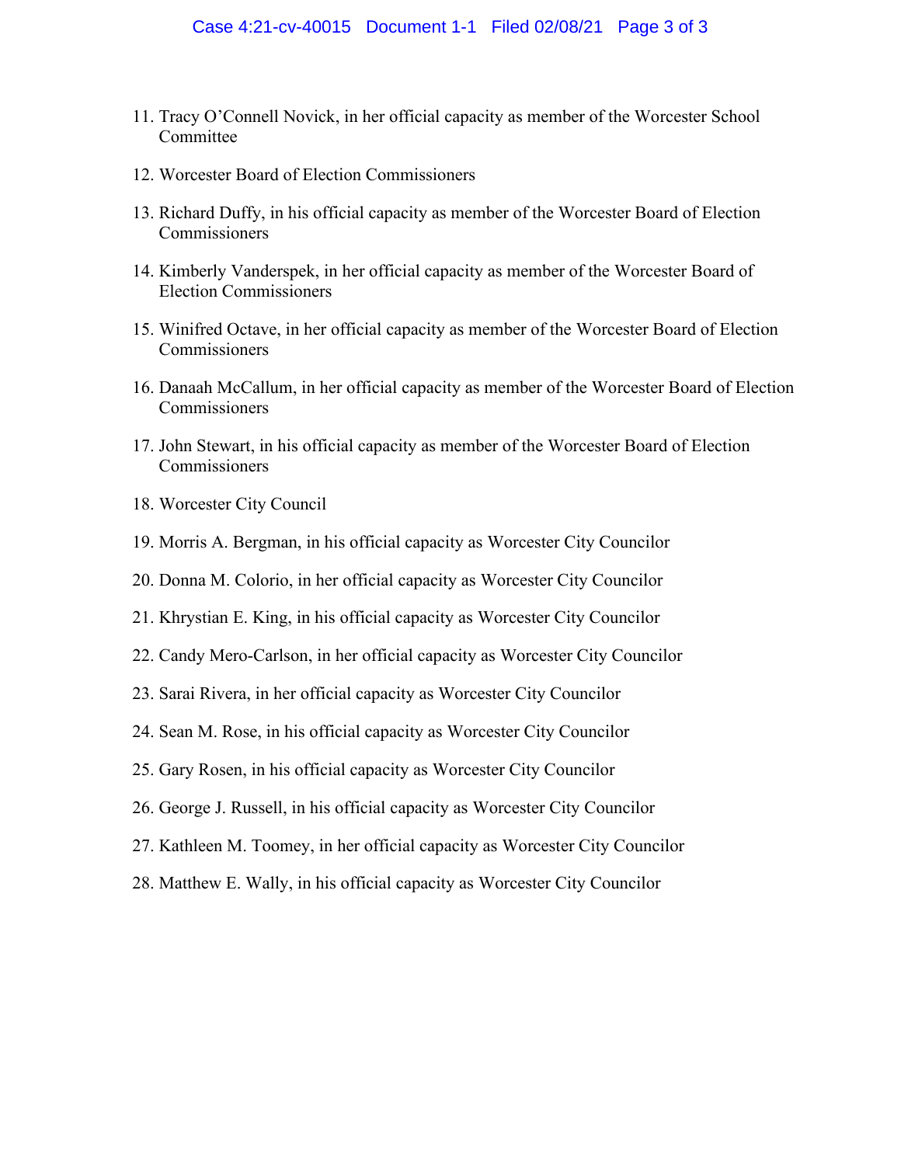- 11. Tracy O'Connell Novick, in her official capacity as member of the Worcester School **Committee**
- 12. Worcester Board of Election Commissioners
- 13. Richard Duffy, in his official capacity as member of the Worcester Board of Election Commissioners
- 14. Kimberly Vanderspek, in her official capacity as member of the Worcester Board of Election Commissioners
- 15. Winifred Octave, in her official capacity as member of the Worcester Board of Election Commissioners
- 16. Danaah McCallum, in her official capacity as member of the Worcester Board of Election Commissioners
- 17. John Stewart, in his official capacity as member of the Worcester Board of Election Commissioners
- 18. Worcester City Council
- 19. Morris A. Bergman, in his official capacity as Worcester City Councilor
- 20. Donna M. Colorio, in her official capacity as Worcester City Councilor
- 21. Khrystian E. King, in his official capacity as Worcester City Councilor
- 22. Candy Mero-Carlson, in her official capacity as Worcester City Councilor
- 23. Sarai Rivera, in her official capacity as Worcester City Councilor
- 24. Sean M. Rose, in his official capacity as Worcester City Councilor
- 25. Gary Rosen, in his official capacity as Worcester City Councilor
- 26. George J. Russell, in his official capacity as Worcester City Councilor
- 27. Kathleen M. Toomey, in her official capacity as Worcester City Councilor
- 28. Matthew E. Wally, in his official capacity as Worcester City Councilor